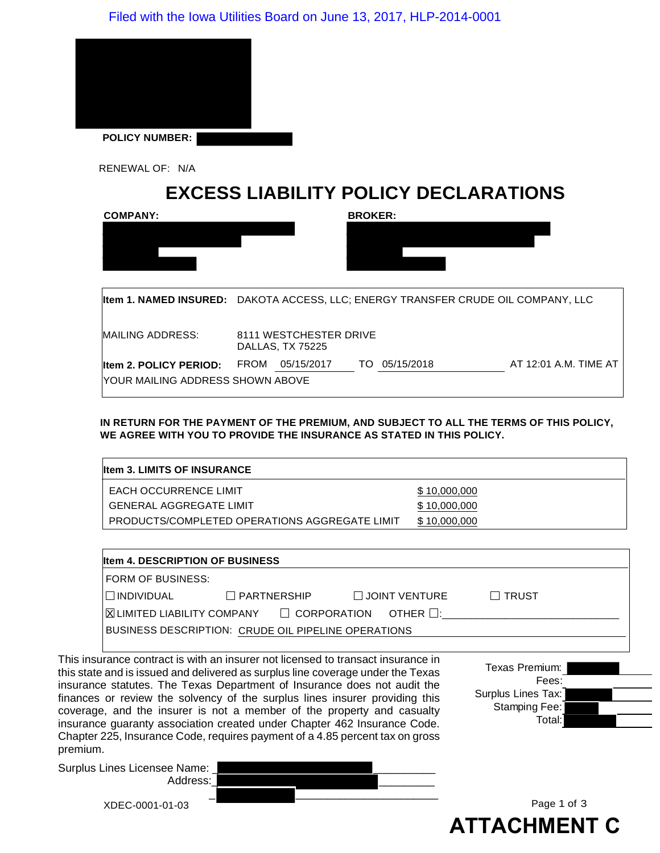

RENEWAL OF: N/A

# **EXCESS LIABILITY POLICY DECLARATIONS**

| <b>COMPANY:</b>                                                   | <b>BROKER:</b>                                                                    |
|-------------------------------------------------------------------|-----------------------------------------------------------------------------------|
|                                                                   |                                                                                   |
|                                                                   | Item 1. NAMED INSURED: DAKOTA ACCESS, LLC; ENERGY TRANSFER CRUDE OIL COMPANY, LLC |
| MAILING ADDRESS:                                                  | 8111 WESTCHESTER DRIVE<br><b>DALLAS, TX 75225</b>                                 |
| <b>Item 2. POLICY PERIOD:</b><br>YOUR MAILING ADDRESS SHOWN ABOVE | AT 12:01 A.M. TIME AT<br><b>FROM</b><br>05/15/2017<br>05/15/2018<br>TO.           |

**IN RETURN FOR THE PAYMENT OF THE PREMIUM, AND SUBJECT TO ALL THE TERMS OF THIS POLICY, WE AGREE WITH YOU TO PROVIDE THE INSURANCE AS STATED IN THIS POLICY.**

| <b>Iltem 3. LIMITS OF INSURANCE</b>                  |              |
|------------------------------------------------------|--------------|
| <b>EACH OCCURRENCE LIMIT</b>                         | \$10,000,000 |
| <b>GENERAL AGGREGATE LIMIT</b>                       | \$10,000,000 |
| <b>PRODUCTS/COMPLETED OPERATIONS AGGREGATE LIMIT</b> | \$10,000,000 |

| <b>Iltem 4. DESCRIPTION OF BUSINESS</b> |                                                     |                                                                                                                                    |              |  |  |
|-----------------------------------------|-----------------------------------------------------|------------------------------------------------------------------------------------------------------------------------------------|--------------|--|--|
| FORM OF BUSINESS:                       |                                                     |                                                                                                                                    |              |  |  |
| <b>INDIVIDUAL</b>                       | $\Box$ PARTNERSHIP                                  | $\Box$ JOINT VENTURE                                                                                                               | $\Box$ trust |  |  |
|                                         |                                                     | $\mathsf I\mathsf X$ LIMITED LIABILITY COMPANY $\qquad \mathsf I\mathsf C$ ORPORATION $\qquad$ OTHER $\mathsf I\mathsf I\mathsf T$ |              |  |  |
|                                         | BUSINESS DESCRIPTION: CRUDE OIL PIPELINE OPERATIONS |                                                                                                                                    |              |  |  |

This insurance contract is with an insurer not licensed to transact insurance in this state and is issued and delivered as surplus line coverage under the Texas insurance statutes. The Texas Department of Insurance does not audit the finances or review the solvency of the surplus lines insurer providing this coverage, and the insurer is not a member of the property and casualty insurance guaranty association created under Chapter 462 Insurance Code. Chapter 225, Insurance Code, requires payment of a 4.85 percent tax on gross premium.

Texas Premium: Fees: Surplus Lines Tax: Stamping Fee: Total:

Surplus Lines Li

| ines Licensee Name: |  |  |             |
|---------------------|--|--|-------------|
| Address:            |  |  |             |
|                     |  |  |             |
| XDEC-0001-01-03     |  |  | Page 1 of 3 |

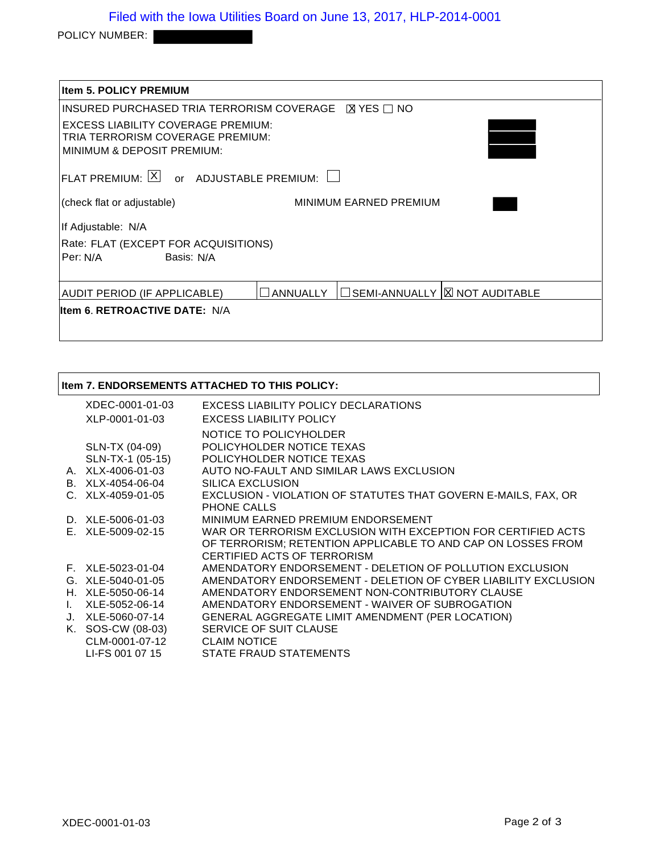POLICY NUMBER:

| <b>Item 5. POLICY PREMIUM</b>                                                                               |                 |                                  |  |
|-------------------------------------------------------------------------------------------------------------|-----------------|----------------------------------|--|
| INSURED PURCHASED TRIA TERRORISM COVERAGE <b>N</b> YES □ NO                                                 |                 |                                  |  |
| <b>EXCESS LIABILITY COVERAGE PREMIUM:</b><br>TRIA TERRORISM COVERAGE PREMIUM:<br>MINIMUM & DEPOSIT PREMIUM: |                 |                                  |  |
| FLAT PREMIUM: $ X $ or ADJUSTABLE PREMIUM: $\Box$                                                           |                 |                                  |  |
| (check flat or adjustable)                                                                                  |                 | MINIMUM EARNED PREMIUM           |  |
| If Adjustable: N/A                                                                                          |                 |                                  |  |
| Rate: FLAT (EXCEPT FOR ACQUISITIONS)                                                                        |                 |                                  |  |
| Per: N/A Basis: N/A                                                                                         |                 |                                  |  |
| AUDIT PERIOD (IF APPLICABLE)                                                                                | <b>ANNUALLY</b> | □ SEMI-ANNUALLY  区 NOT AUDITABLE |  |
| lltem 6. RETROACTIVE DATE: N/A                                                                              |                 |                                  |  |

|    |                     | <b>Item 7. ENDORSEMENTS ATTACHED TO THIS POLICY:</b>           |
|----|---------------------|----------------------------------------------------------------|
|    | XDEC-0001-01-03     | EXCESS LIABILITY POLICY DECLARATIONS                           |
|    | XLP-0001-01-03      | <b>EXCESS LIABILITY POLICY</b>                                 |
|    |                     | NOTICE TO POLICYHOLDER                                         |
|    | SLN-TX (04-09)      | POLICYHOLDER NOTICE TEXAS                                      |
|    | SLN-TX-1 (05-15)    | POLICYHOLDER NOTICE TEXAS                                      |
|    | A. XLX-4006-01-03   | AUTO NO-FAULT AND SIMILAR LAWS EXCLUSION                       |
|    | B. XLX-4054-06-04   | SILICA EXCLUSION                                               |
|    | $C. XLX-4059-01-05$ | EXCLUSION - VIOLATION OF STATUTES THAT GOVERN E-MAILS, FAX, OR |
|    |                     | PHONE CALLS                                                    |
|    | D. XLE-5006-01-03   | MINIMUM EARNED PREMIUM ENDORSEMENT                             |
|    | E. XLE-5009-02-15   | WAR OR TERRORISM EXCLUSION WITH EXCEPTION FOR CERTIFIED ACTS   |
|    |                     | OF TERRORISM; RETENTION APPLICABLE TO AND CAP ON LOSSES FROM   |
|    |                     | CERTIFIED ACTS OF TERRORISM                                    |
|    | F. XLE-5023-01-04   | AMENDATORY ENDORSEMENT - DELETION OF POLLUTION EXCLUSION       |
|    | G. XLE-5040-01-05   | AMENDATORY ENDORSEMENT - DELETION OF CYBER LIABILITY EXCLUSION |
|    | H. XLE-5050-06-14   | AMENDATORY ENDORSEMENT NON-CONTRIBUTORY CLAUSE                 |
| L. | XLE-5052-06-14      | AMENDATORY ENDORSEMENT - WAIVER OF SUBROGATION                 |
|    | J. XLE-5060-07-14   | <b>GENERAL AGGREGATE LIMIT AMENDMENT (PER LOCATION)</b>        |
|    | K. SOS-CW (08-03)   | SERVICE OF SUIT CLAUSE                                         |
|    | CLM-0001-07-12      | <b>CLAIM NOTICE</b>                                            |
|    | LI-FS 001 07 15     | STATE FRAUD STATEMENTS                                         |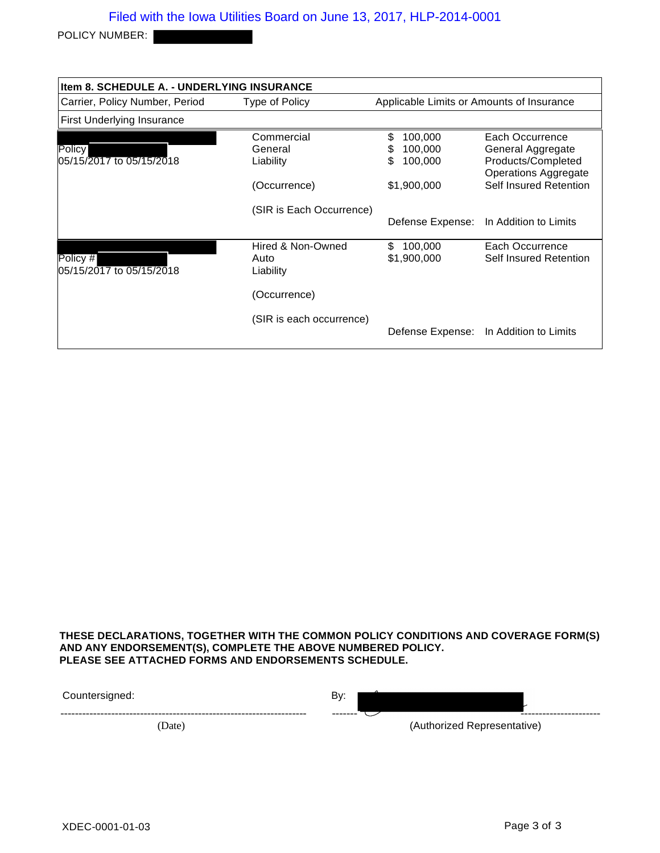POLICY NUMBER:

| <b>Item 8. SCHEDULE A. - UNDERLYING INSURANCE</b> |                                                                                |                                                               |                                                                                                                     |  |  |
|---------------------------------------------------|--------------------------------------------------------------------------------|---------------------------------------------------------------|---------------------------------------------------------------------------------------------------------------------|--|--|
| Carrier, Policy Number, Period                    | Type of Policy                                                                 |                                                               | Applicable Limits or Amounts of Insurance                                                                           |  |  |
| <b>First Underlying Insurance</b>                 |                                                                                |                                                               |                                                                                                                     |  |  |
| Policy<br>l05/15/2017 to 05/15/2018               | Commercial<br>General<br>Liability<br>(Occurrence)<br>(SIR is Each Occurrence) | S<br>100,000<br>100,000<br>S<br>\$.<br>100,000<br>\$1,900,000 | Each Occurrence<br>General Aggregate<br>Products/Completed<br><b>Operations Aggregate</b><br>Self Insured Retention |  |  |
|                                                   |                                                                                | Defense Expense:                                              | In Addition to Limits                                                                                               |  |  |
| Policy #<br>05/15/2017 to 05/15/2018              | Hired & Non-Owned<br>Auto<br>Liability                                         | 100,000<br>\$.<br>\$1,900,000                                 | Each Occurrence<br>Self Insured Retention                                                                           |  |  |
|                                                   | (Occurrence)                                                                   |                                                               |                                                                                                                     |  |  |
|                                                   | (SIR is each occurrence)                                                       | Defense Expense:                                              | In Addition to Limits                                                                                               |  |  |

**THESE DECLARATIONS, TOGETHER WITH THE COMMON POLICY CONDITIONS AND COVERAGE FORM(S) AND ANY ENDORSEMENT(S), COMPLETE THE ABOVE NUMBERED POLICY. PLEASE SEE ATTACHED FORMS AND ENDORSEMENTS SCHEDULE.**

| 1: ountersigned: | By:     |                             |
|------------------|---------|-----------------------------|
|                  | ------- |                             |
| (Date)           |         | (Authorized Representative) |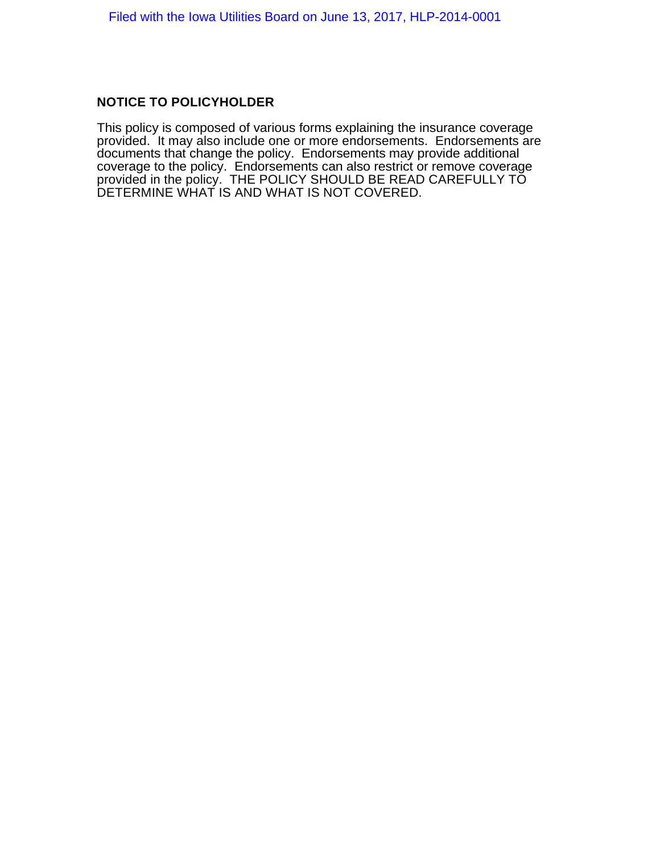### **NOTICE TO POLICYHOLDER**

This policy is composed of various forms explaining the insurance coverage provided. It may also include one or more endorsements. Endorsements are documents that change the policy. Endorsements may provide additional coverage to the policy. Endorsements can also restrict or remove coverage provided in the policy. THE POLICY SHOULD BE READ CAREFULLY TO DETERMINE WHAT IS AND WHAT IS NOT COVERED.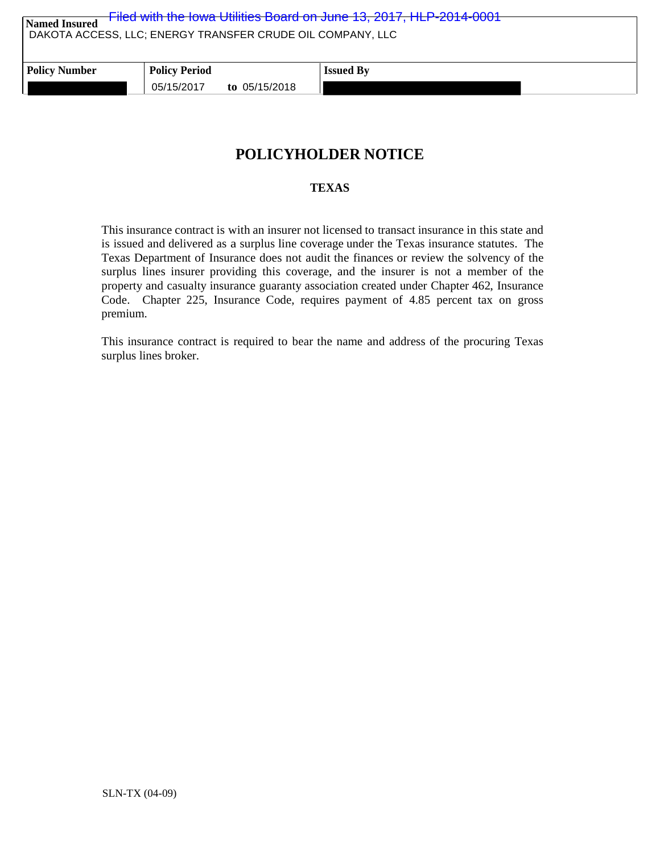| Filed with the lowa Utilities Board on June 13, 2017, HLP-2014-0001<br>Named Insured<br>DAKOTA ACCESS, LLC; ENERGY TRANSFER CRUDE OIL COMPANY, LLC |                      |                 |                  |  |
|----------------------------------------------------------------------------------------------------------------------------------------------------|----------------------|-----------------|------------------|--|
| <b>Policy Number</b>                                                                                                                               | <b>Policy Period</b> |                 | <b>Issued By</b> |  |
|                                                                                                                                                    | 05/15/2017           | to $05/15/2018$ |                  |  |

# **POLICYHOLDER NOTICE**

### **TEXAS**

This insurance contract is with an insurer not licensed to transact insurance in this state and is issued and delivered as a surplus line coverage under the Texas insurance statutes. The Texas Department of Insurance does not audit the finances or review the solvency of the surplus lines insurer providing this coverage, and the insurer is not a member of the property and casualty insurance guaranty association created under Chapter 462, Insurance Code. Chapter 225, Insurance Code, requires payment of 4.85 percent tax on gross premium.

This insurance contract is required to bear the name and address of the procuring Texas surplus lines broker.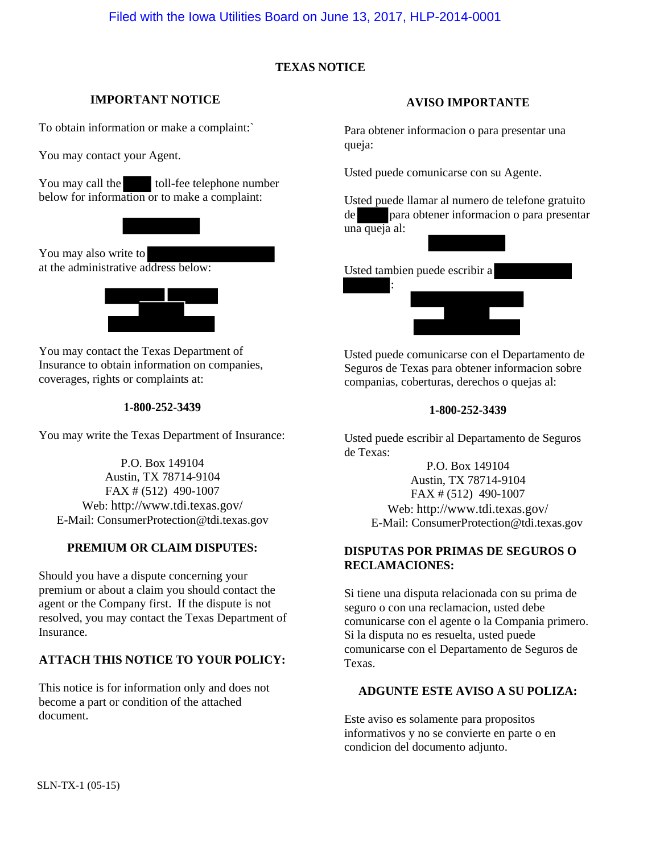### **TEXAS NOTICE**

### **IMPORTANT NOTICE**

To obtain information or make a complaint:`

You may contact your Agent.

You may call the toll-fee telephone number below for information or to make a complaint:



You may also write to at the administrative address below:



You may contact the Texas Department of Insurance to obtain information on companies, coverages, rights or complaints at:

#### **1-800-252-3439**

You may write the Texas Department of Insurance:

P.O. Box 149104 Austin, TX 78714-9104 FAX # (512) 490-1007 Web: http://www.tdi.texas.gov/ E-Mail: ConsumerProtection@tdi.texas.gov

### **PREMIUM OR CLAIM DISPUTES:**

Should you have a dispute concerning your premium or about a claim you should contact the agent or the Company first. If the dispute is not resolved, you may contact the Texas Department of Insurance.

### **ATTACH THIS NOTICE TO YOUR POLICY:**

This notice is for information only and does not become a part or condition of the attached document.

#### **AVISO IMPORTANTE**

Para obtener informacion o para presentar una queja:

Usted puede comunicarse con su Agente.

Usted puede llamar al numero de telefone gratuito de para obtener informacion o para presentar una queja al:

Usted tambien puede escribir a



Usted puede comunicarse con el Departamento de Seguros de Texas para obtener informacion sobre companias, coberturas, derechos o quejas al:

#### **1-800-252-3439**

Usted puede escribir al Departamento de Seguros de Texas:

> P.O. Box 149104 Austin, TX 78714-9104 FAX # (512) 490-1007 Web: http://www.tdi.texas.gov/ E-Mail: ConsumerProtection@tdi.texas.gov

### **DISPUTAS POR PRIMAS DE SEGUROS O RECLAMACIONES:**

Si tiene una disputa relacionada con su prima de seguro o con una reclamacion, usted debe comunicarse con el agente o la Compania primero. Si la disputa no es resuelta, usted puede comunicarse con el Departamento de Seguros de Texas.

### **ADGUNTE ESTE AVISO A SU POLIZA:**

Este aviso es solamente para propositos informativos y no se convierte en parte o en condicion del documento adjunto.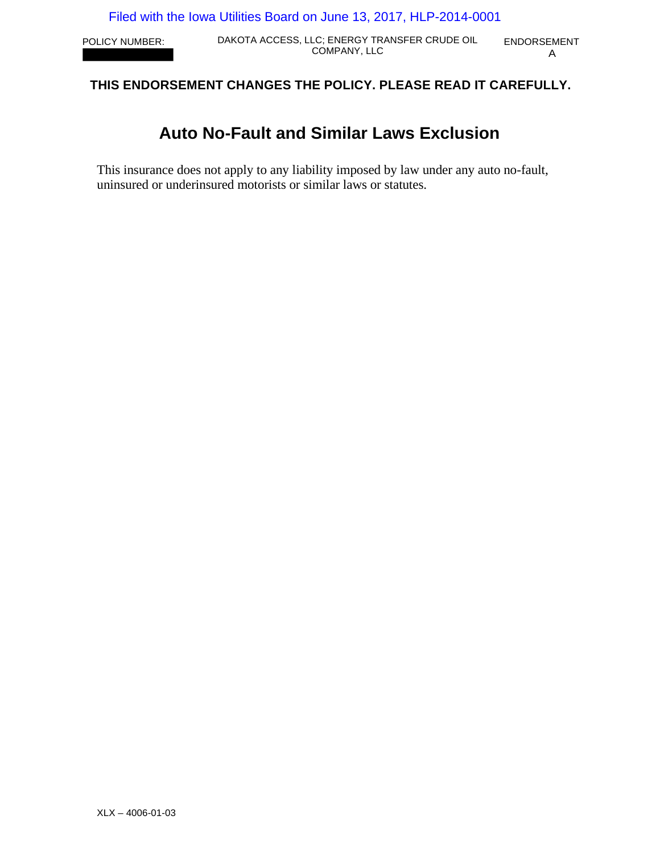POLICY NUMBER: DAKOTA ACCESS, LLC; ENERGY TRANSFER CRUDE OIL ENDORSEMENT LC; ENERGY TRANSFER CRUDE OIL ENDORSEMENT<br>COMPANY, LLC A

# **THIS ENDORSEMENT CHANGES THE POLICY. PLEASE READ IT CAREFULLY.**

# **Auto No-Fault and Similar Laws Exclusion**

This insurance does not apply to any liability imposed by law under any auto no-fault, uninsured or underinsured motorists or similar laws or statutes.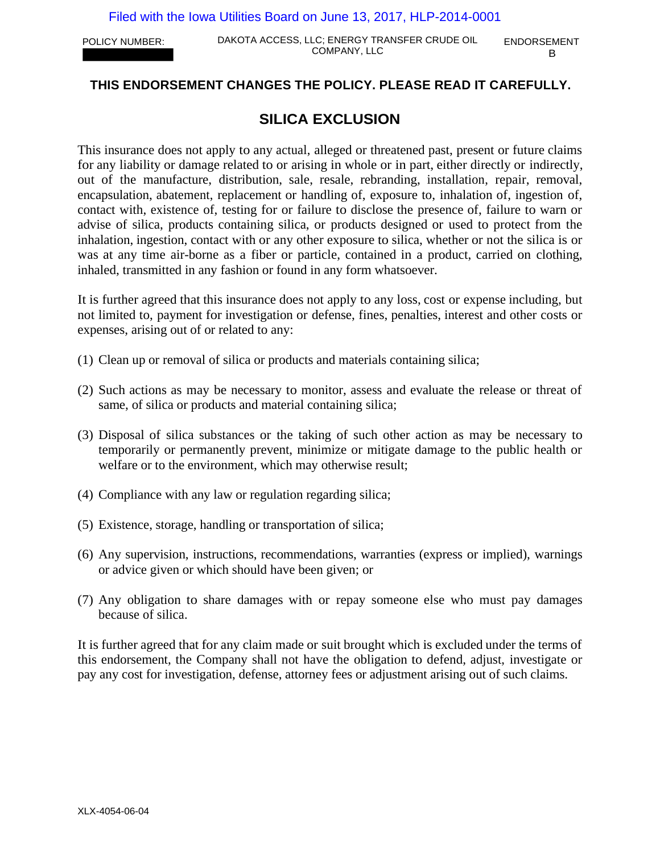POLICY NUMBER: DAKOTA ACCESS, LLC; ENERGY TRANSFER CRUDE OIL ENDORSEMENT COMPANY, LLC BELLET BELLET BELLET BELLET BELLET BELLET BELLET BELLET BELLET BELLET BELLET BELLET BELLET BELLET

# **THIS ENDORSEMENT CHANGES THE POLICY. PLEASE READ IT CAREFULLY.**

# **SILICA EXCLUSION**

This insurance does not apply to any actual, alleged or threatened past, present or future claims for any liability or damage related to or arising in whole or in part, either directly or indirectly, out of the manufacture, distribution, sale, resale, rebranding, installation, repair, removal, encapsulation, abatement, replacement or handling of, exposure to, inhalation of, ingestion of, contact with, existence of, testing for or failure to disclose the presence of, failure to warn or advise of silica, products containing silica, or products designed or used to protect from the inhalation, ingestion, contact with or any other exposure to silica, whether or not the silica is or was at any time air-borne as a fiber or particle, contained in a product, carried on clothing, inhaled, transmitted in any fashion or found in any form whatsoever.

It is further agreed that this insurance does not apply to any loss, cost or expense including, but not limited to, payment for investigation or defense, fines, penalties, interest and other costs or expenses, arising out of or related to any:

- (1) Clean up or removal of silica or products and materials containing silica;
- (2) Such actions as may be necessary to monitor, assess and evaluate the release or threat of same, of silica or products and material containing silica;
- (3) Disposal of silica substances or the taking of such other action as may be necessary to temporarily or permanently prevent, minimize or mitigate damage to the public health or welfare or to the environment, which may otherwise result;
- (4) Compliance with any law or regulation regarding silica;
- (5) Existence, storage, handling or transportation of silica;
- (6) Any supervision, instructions, recommendations, warranties (express or implied), warnings or advice given or which should have been given; or
- (7) Any obligation to share damages with or repay someone else who must pay damages because of silica.

It is further agreed that for any claim made or suit brought which is excluded under the terms of this endorsement, the Company shall not have the obligation to defend, adjust, investigate or pay any cost for investigation, defense, attorney fees or adjustment arising out of such claims.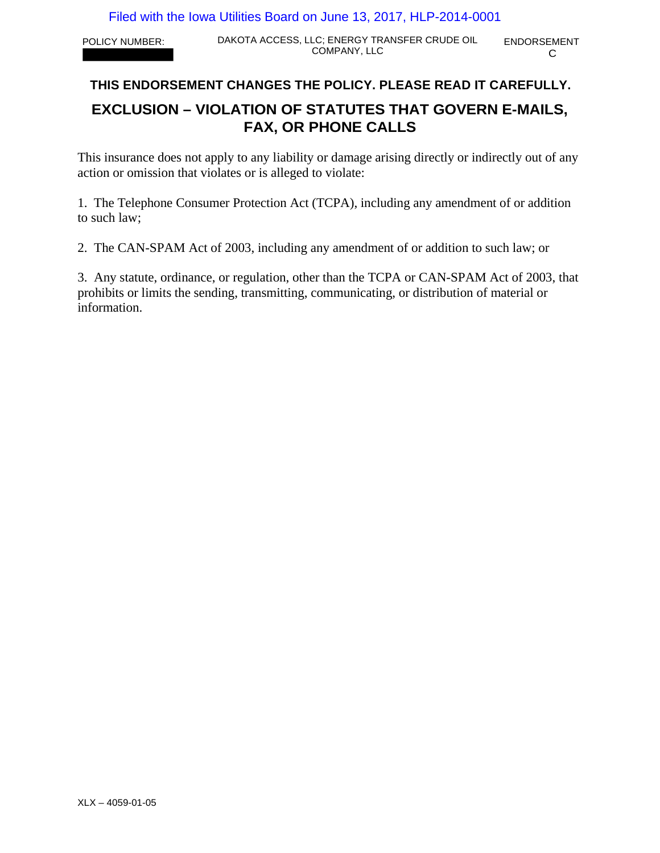POLICY NUMBER: DAKOTA ACCESS, LLC; ENERGY TRANSFER CRUDE OIL ENDORSEMENT COMPANY, LLC COMPANY, LLC

# **THIS ENDORSEMENT CHANGES THE POLICY. PLEASE READ IT CAREFULLY.**

# **EXCLUSION – VIOLATION OF STATUTES THAT GOVERN E-MAILS, FAX, OR PHONE CALLS**

This insurance does not apply to any liability or damage arising directly or indirectly out of any action or omission that violates or is alleged to violate:

1. The Telephone Consumer Protection Act (TCPA), including any amendment of or addition to such law;

2. The CAN-SPAM Act of 2003, including any amendment of or addition to such law; or

3. Any statute, ordinance, or regulation, other than the TCPA or CAN-SPAM Act of 2003, that prohibits or limits the sending, transmitting, communicating, or distribution of material or information.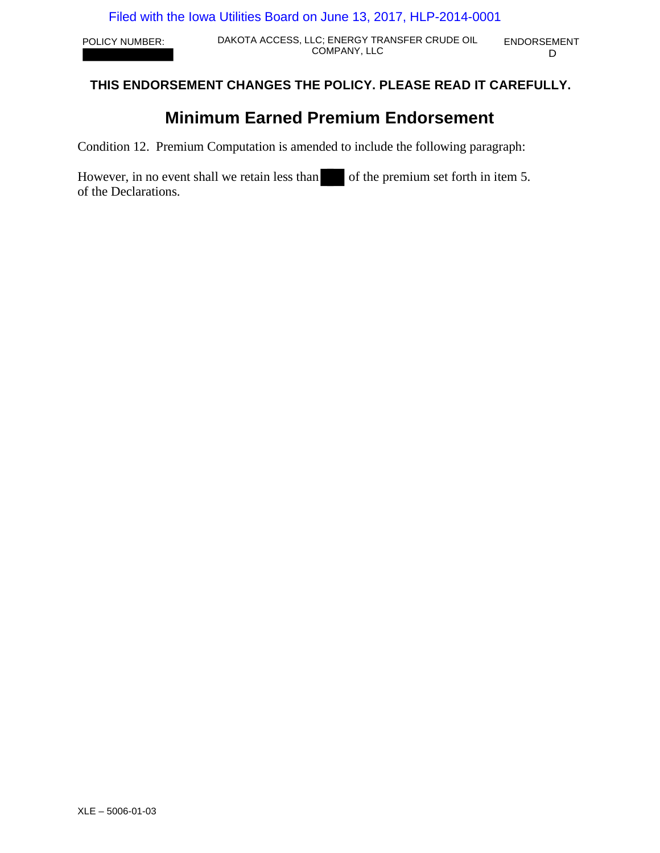POLICY NUMBER: DAKOTA ACCESS, LLC; ENERGY TRANSFER CRUDE OIL ENDORSEMENT COMPANY, LLC D

# **THIS ENDORSEMENT CHANGES THE POLICY. PLEASE READ IT CAREFULLY.**

# **Minimum Earned Premium Endorsement**

Condition 12. Premium Computation is amended to include the following paragraph:

However, in no event shall we retain less than of the premium set forth in item 5. of the Declarations.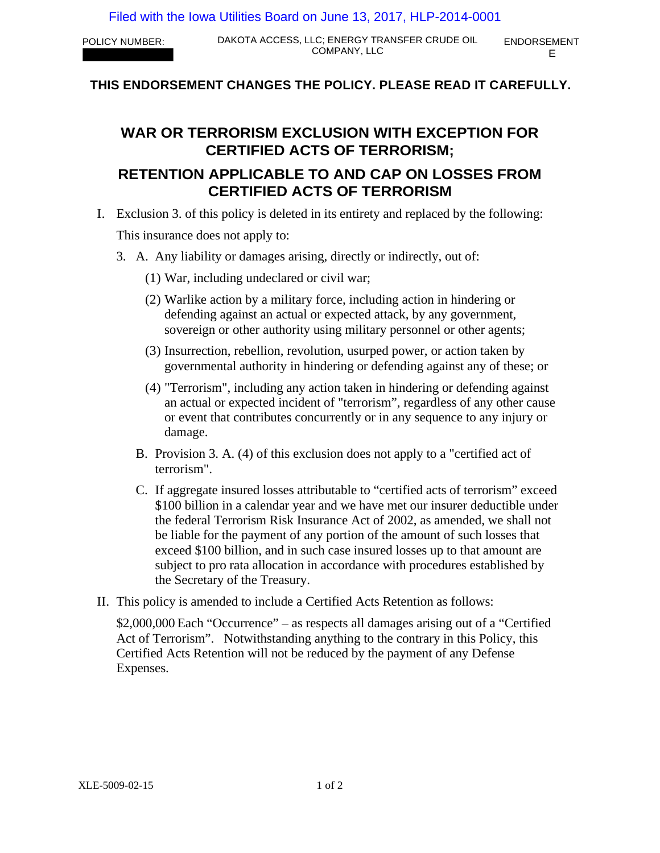# **THIS ENDORSEMENT CHANGES THE POLICY. PLEASE READ IT CAREFULLY.**

# **WAR OR TERRORISM EXCLUSION WITH EXCEPTION FOR CERTIFIED ACTS OF TERRORISM;**

# **RETENTION APPLICABLE TO AND CAP ON LOSSES FROM CERTIFIED ACTS OF TERRORISM**

- I. Exclusion 3. of this policy is deleted in its entirety and replaced by the following: This insurance does not apply to:
	- 3. A. Any liability or damages arising, directly or indirectly, out of:
		- (1) War, including undeclared or civil war;
		- (2) Warlike action by a military force, including action in hindering or defending against an actual or expected attack, by any government, sovereign or other authority using military personnel or other agents;
		- (3) Insurrection, rebellion, revolution, usurped power, or action taken by governmental authority in hindering or defending against any of these; or
		- (4) "Terrorism", including any action taken in hindering or defending against an actual or expected incident of "terrorism", regardless of any other cause or event that contributes concurrently or in any sequence to any injury or damage.
		- B. Provision 3. A. (4) of this exclusion does not apply to a "certified act of terrorism".
		- C. If aggregate insured losses attributable to "certified acts of terrorism" exceed \$100 billion in a calendar year and we have met our insurer deductible under the federal Terrorism Risk Insurance Act of 2002, as amended, we shall not be liable for the payment of any portion of the amount of such losses that exceed \$100 billion, and in such case insured losses up to that amount are subject to pro rata allocation in accordance with procedures established by the Secretary of the Treasury.
- II. This policy is amended to include a Certified Acts Retention as follows:

\$2,000,000 Each "Occurrence" – as respects all damages arising out of a "Certified Act of Terrorism". Notwithstanding anything to the contrary in this Policy, this Certified Acts Retention will not be reduced by the payment of any Defense Expenses.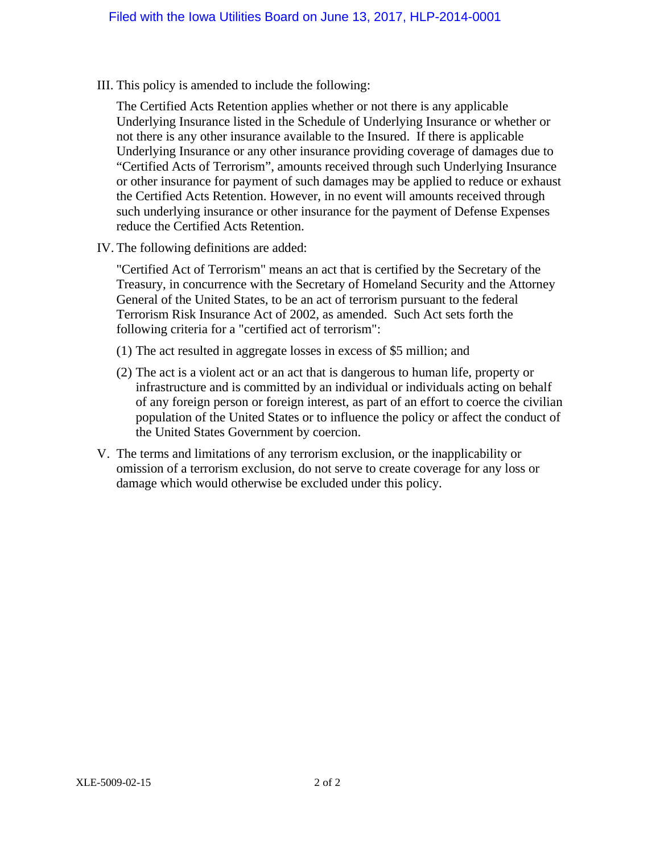III. This policy is amended to include the following:

The Certified Acts Retention applies whether or not there is any applicable Underlying Insurance listed in the Schedule of Underlying Insurance or whether or not there is any other insurance available to the Insured. If there is applicable Underlying Insurance or any other insurance providing coverage of damages due to "Certified Acts of Terrorism", amounts received through such Underlying Insurance or other insurance for payment of such damages may be applied to reduce or exhaust the Certified Acts Retention. However, in no event will amounts received through such underlying insurance or other insurance for the payment of Defense Expenses reduce the Certified Acts Retention.

IV. The following definitions are added:

"Certified Act of Terrorism" means an act that is certified by the Secretary of the Treasury, in concurrence with the Secretary of Homeland Security and the Attorney General of the United States, to be an act of terrorism pursuant to the federal Terrorism Risk Insurance Act of 2002, as amended. Such Act sets forth the following criteria for a "certified act of terrorism":

- (1) The act resulted in aggregate losses in excess of \$5 million; and
- (2) The act is a violent act or an act that is dangerous to human life, property or infrastructure and is committed by an individual or individuals acting on behalf of any foreign person or foreign interest, as part of an effort to coerce the civilian population of the United States or to influence the policy or affect the conduct of the United States Government by coercion.
- V. The terms and limitations of any terrorism exclusion, or the inapplicability or omission of a terrorism exclusion, do not serve to create coverage for any loss or damage which would otherwise be excluded under this policy.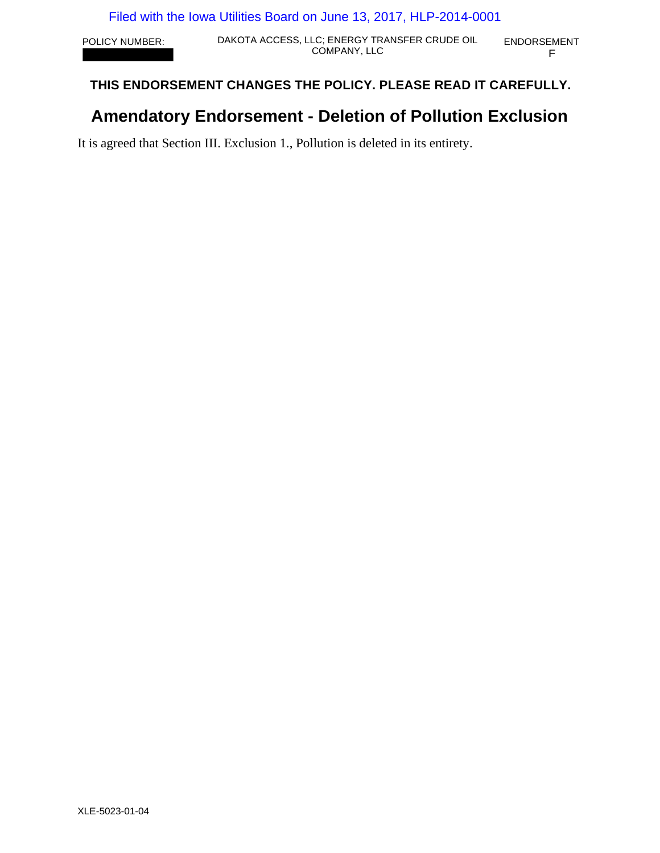POLICY NUMBER: DAKOTA ACCESS, LLC; ENERGY TRANSFER CRUDE OIL ENDORSEMENT LC; ENERGY TRANSFER CRUDE OIL ENDORSEMENT<br>COMPANY, LLC F

# **THIS ENDORSEMENT CHANGES THE POLICY. PLEASE READ IT CAREFULLY.**

# **Amendatory Endorsement - Deletion of Pollution Exclusion**

It is agreed that Section III. Exclusion 1., Pollution is deleted in its entirety.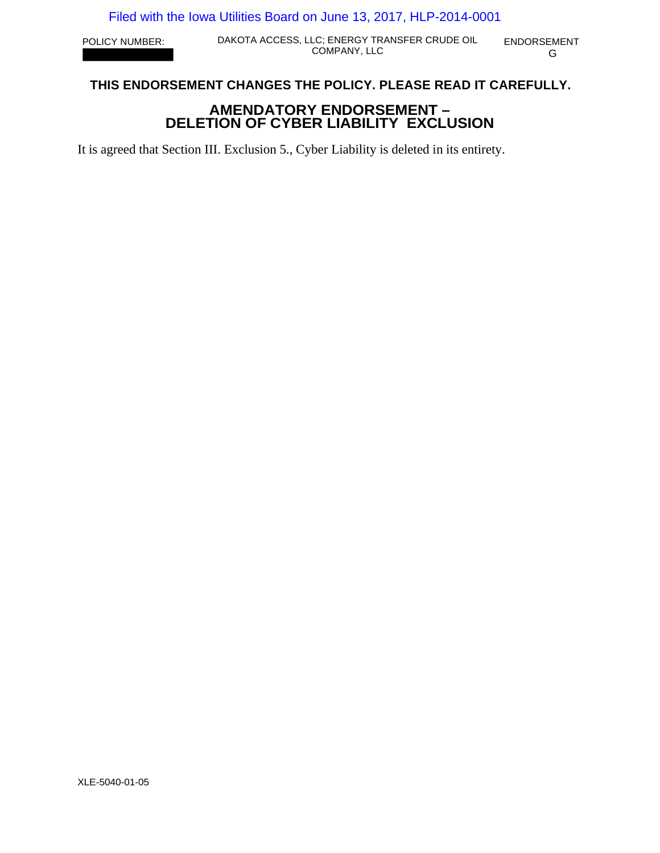POLICY NUMBER: DAKOTA ACCESS, LLC; ENERGY TRANSFER CRUDE OIL ENDORSEMENT LC; ENERGY TRANSFER CRUDE OIL ENDORSEMENT<br>COMPANY, LLC G

# **THIS ENDORSEMENT CHANGES THE POLICY. PLEASE READ IT CAREFULLY.**

# **AMENDATORY ENDORSEMENT – DELETION OF CYBER LIABILITY EXCLUSION**

It is agreed that Section III. Exclusion 5., Cyber Liability is deleted in its entirety.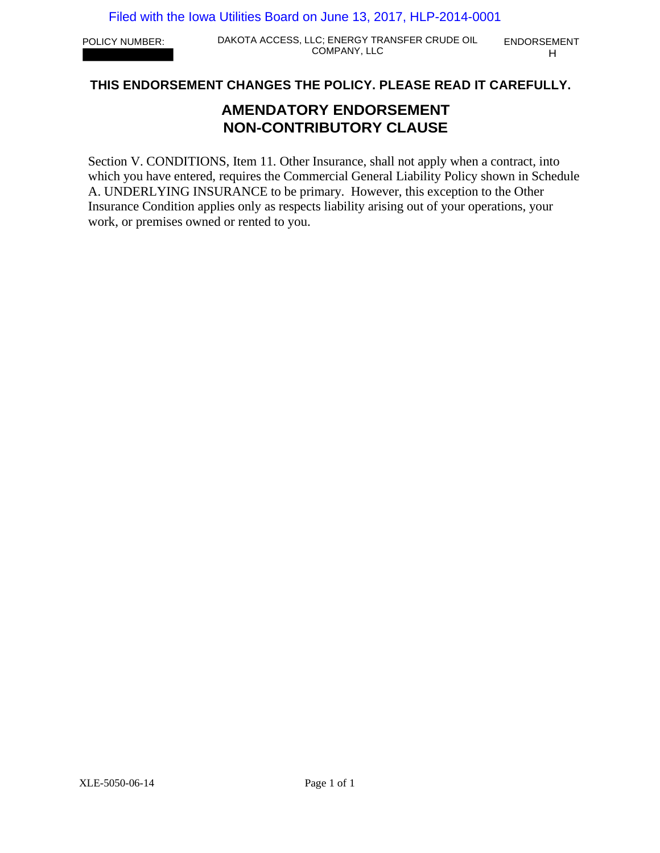POLICY NUMBER: DAKOTA ACCESS, LLC; ENERGY TRANSFER CRUDE OIL ENDORSEMENT COMPANY, LLC H

## **THIS ENDORSEMENT CHANGES THE POLICY. PLEASE READ IT CAREFULLY.**

# **AMENDATORY ENDORSEMENT NON-CONTRIBUTORY CLAUSE**

Section V. CONDITIONS, Item 11. Other Insurance, shall not apply when a contract, into which you have entered, requires the Commercial General Liability Policy shown in Schedule A. UNDERLYING INSURANCE to be primary. However, this exception to the Other Insurance Condition applies only as respects liability arising out of your operations, your work, or premises owned or rented to you.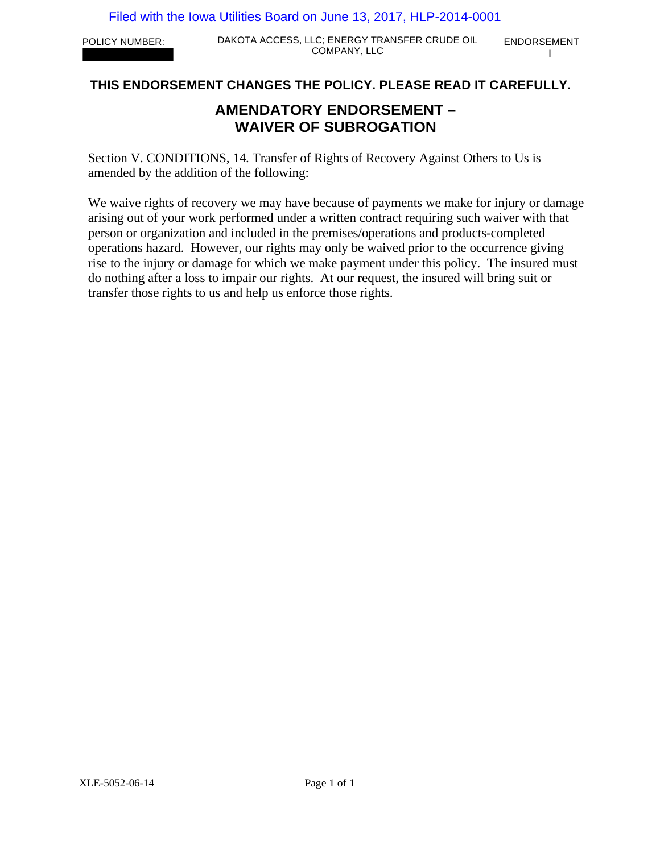POLICY NUMBER: DAKOTA ACCESS, LLC; ENERGY TRANSFER CRUDE OIL ENDORSEMENT LC; ENERGY TRANSFER CRUDE OIL ENDORSEMENT<br>COMPANY, LLC

# **THIS ENDORSEMENT CHANGES THE POLICY. PLEASE READ IT CAREFULLY.**

# **AMENDATORY ENDORSEMENT – WAIVER OF SUBROGATION**

Section V. CONDITIONS, 14. Transfer of Rights of Recovery Against Others to Us is amended by the addition of the following:

We waive rights of recovery we may have because of payments we make for injury or damage arising out of your work performed under a written contract requiring such waiver with that person or organization and included in the premises/operations and products-completed operations hazard. However, our rights may only be waived prior to the occurrence giving rise to the injury or damage for which we make payment under this policy. The insured must do nothing after a loss to impair our rights. At our request, the insured will bring suit or transfer those rights to us and help us enforce those rights.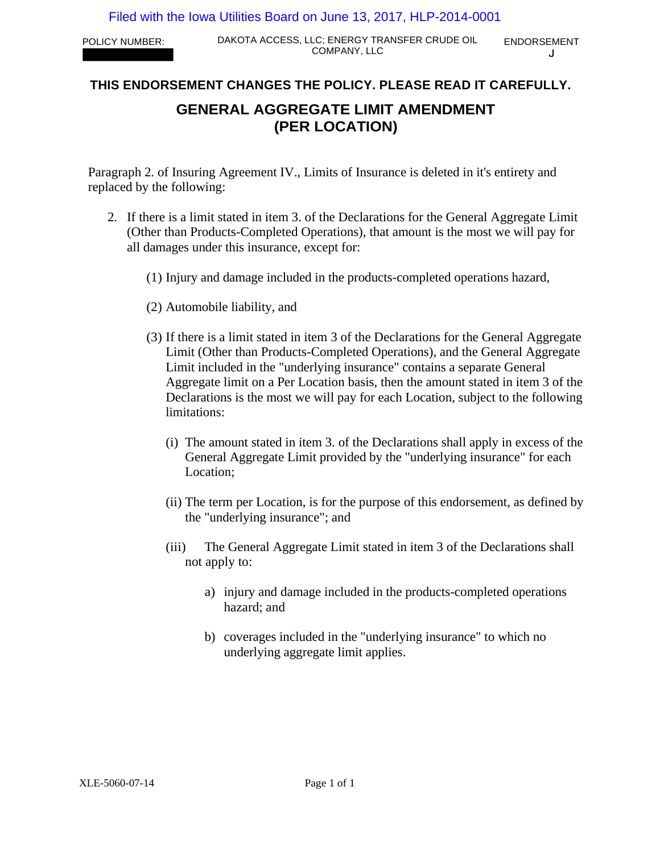POLICY NUMBER: DAKOTA ACCESS, LLC; ENERGY TRANSFER CRUDE OIL ENDORSEMENT COMPANY, LLC

 $\cdot$ 

# **THIS ENDORSEMENT CHANGES THE POLICY. PLEASE READ IT CAREFULLY.**

# **GENERAL AGGREGATE LIMIT AMENDMENT (PER LOCATION)**

Paragraph 2. of Insuring Agreement IV., Limits of Insurance is deleted in it's entirety and replaced by the following:

- 2. If there is a limit stated in item 3. of the Declarations for the General Aggregate Limit (Other than Products-Completed Operations), that amount is the most we will pay for all damages under this insurance, except for:
	- (1) Injury and damage included in the products-completed operations hazard,
	- (2) Automobile liability, and
	- (3) If there is a limit stated in item 3 of the Declarations for the General Aggregate Limit (Other than Products-Completed Operations), and the General Aggregate Limit included in the "underlying insurance" contains a separate General Aggregate limit on a Per Location basis, then the amount stated in item 3 of the Declarations is the most we will pay for each Location, subject to the following limitations:
		- (i) The amount stated in item 3. of the Declarations shall apply in excess of the General Aggregate Limit provided by the "underlying insurance" for each Location;
		- (ii) The term per Location, is for the purpose of this endorsement, as defined by the "underlying insurance"; and
		- (iii) The General Aggregate Limit stated in item 3 of the Declarations shall not apply to:
			- a) injury and damage included in the products-completed operations hazard; and
			- b) coverages included in the "underlying insurance" to which no underlying aggregate limit applies.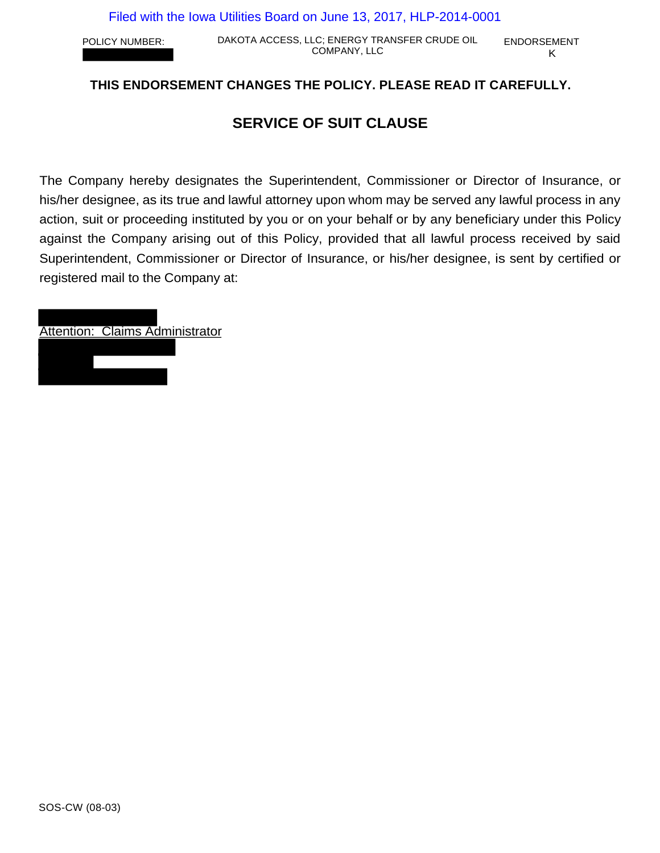POLICY NUMBER: DAKOTA ACCESS, LLC; ENERGY TRANSFER CRUDE OIL ENDORSEMENT COMPANY, LLC K

# **THIS ENDORSEMENT CHANGES THE POLICY. PLEASE READ IT CAREFULLY.**

# **SERVICE OF SUIT CLAUSE**

The Company hereby designates the Superintendent, Commissioner or Director of Insurance, or his/her designee, as its true and lawful attorney upon whom may be served any lawful process in any action, suit or proceeding instituted by you or on your behalf or by any beneficiary under this Policy against the Company arising out of this Policy, provided that all lawful process received by said Superintendent, Commissioner or Director of Insurance, or his/her designee, is sent by certified or registered mail to the Company at:

Attention: Claims Administrator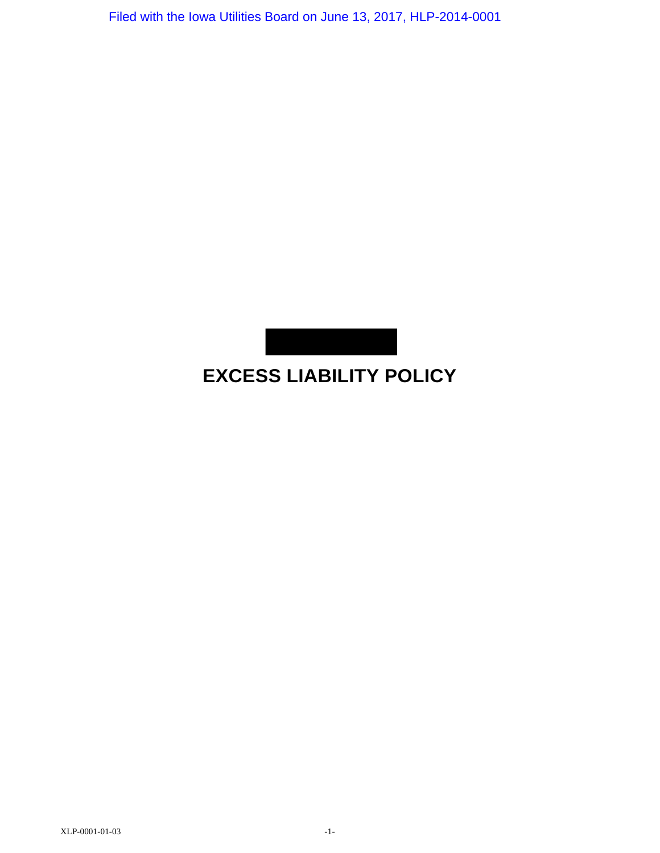

# **EXCESS LIABILITY POLICY**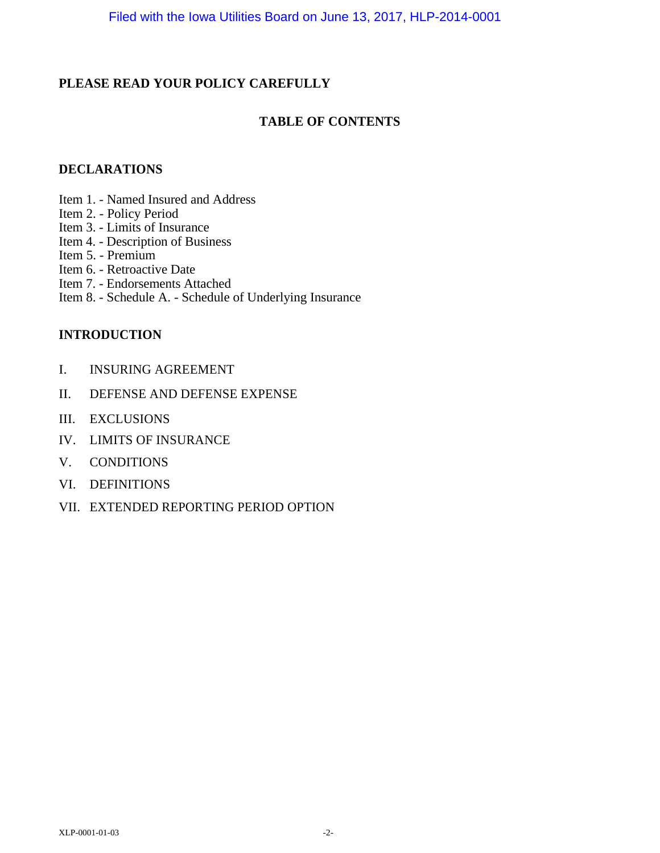# **PLEASE READ YOUR POLICY CAREFULLY**

# **TABLE OF CONTENTS**

## **DECLARATIONS**

- Item 1. Named Insured and Address
- Item 2. Policy Period
- Item 3. Limits of Insurance
- Item 4. Description of Business
- Item 5. Premium
- Item 6. Retroactive Date
- Item 7. Endorsements Attached
- Item 8. Schedule A. Schedule of Underlying Insurance

# **INTRODUCTION**

- I. INSURING AGREEMENT
- II. DEFENSE AND DEFENSE EXPENSE
- III. EXCLUSIONS
- IV. LIMITS OF INSURANCE
- V. CONDITIONS
- VI. DEFINITIONS
- VII. EXTENDED REPORTING PERIOD OPTION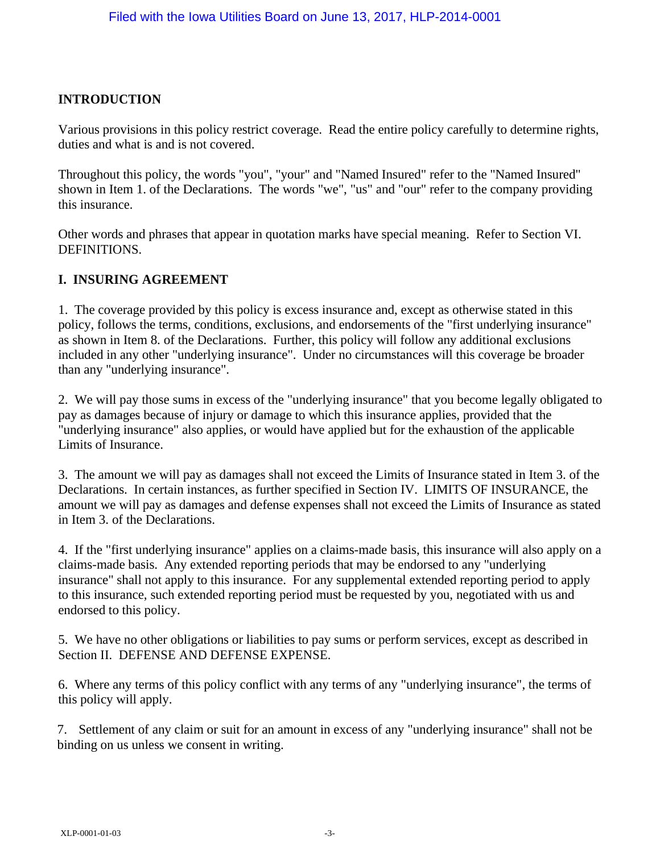# **INTRODUCTION**

Various provisions in this policy restrict coverage. Read the entire policy carefully to determine rights, duties and what is and is not covered.

Throughout this policy, the words "you", "your" and "Named Insured" refer to the "Named Insured" shown in Item 1. of the Declarations. The words "we", "us" and "our" refer to the company providing this insurance.

Other words and phrases that appear in quotation marks have special meaning. Refer to Section VI. DEFINITIONS.

# **I. INSURING AGREEMENT**

1. The coverage provided by this policy is excess insurance and, except as otherwise stated in this policy, follows the terms, conditions, exclusions, and endorsements of the "first underlying insurance" as shown in Item 8. of the Declarations. Further, this policy will follow any additional exclusions included in any other "underlying insurance". Under no circumstances will this coverage be broader than any "underlying insurance".

2. We will pay those sums in excess of the "underlying insurance" that you become legally obligated to pay as damages because of injury or damage to which this insurance applies, provided that the "underlying insurance" also applies, or would have applied but for the exhaustion of the applicable Limits of Insurance.

3. The amount we will pay as damages shall not exceed the Limits of Insurance stated in Item 3. of the Declarations. In certain instances, as further specified in Section IV. LIMITS OF INSURANCE, the amount we will pay as damages and defense expenses shall not exceed the Limits of Insurance as stated in Item 3. of the Declarations.

4. If the "first underlying insurance" applies on a claims-made basis, this insurance will also apply on a claims-made basis. Any extended reporting periods that may be endorsed to any "underlying insurance" shall not apply to this insurance. For any supplemental extended reporting period to apply to this insurance, such extended reporting period must be requested by you, negotiated with us and endorsed to this policy.

5. We have no other obligations or liabilities to pay sums or perform services, except as described in Section II. DEFENSE AND DEFENSE EXPENSE.

6. Where any terms of this policy conflict with any terms of any "underlying insurance", the terms of this policy will apply.

7. Settlement of any claim or suit for an amount in excess of any "underlying insurance" shall not be binding on us unless we consent in writing.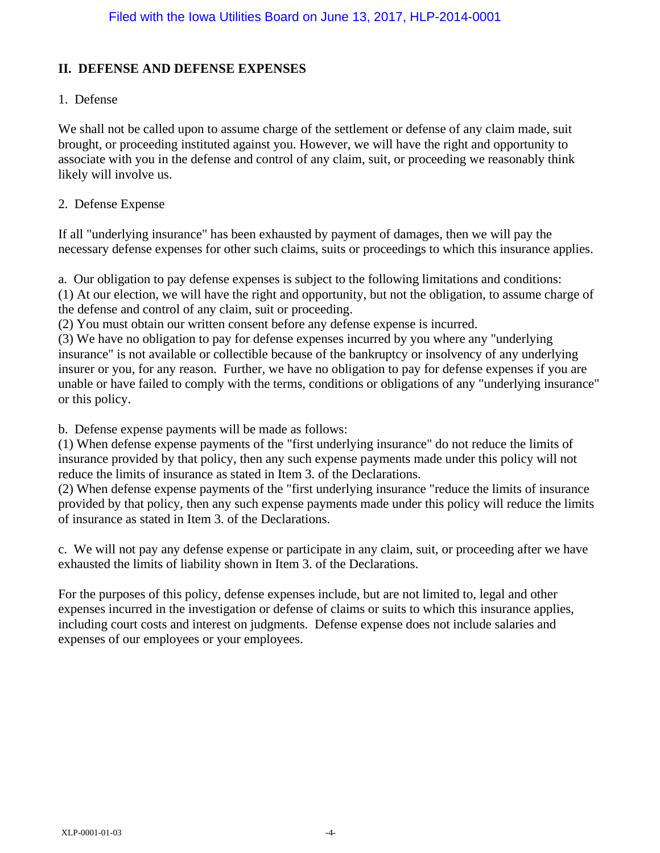### **II. DEFENSE AND DEFENSE EXPENSES**

### 1. Defense

We shall not be called upon to assume charge of the settlement or defense of any claim made, suit brought, or proceeding instituted against you. However, we will have the right and opportunity to associate with you in the defense and control of any claim, suit, or proceeding we reasonably think likely will involve us.

### 2. Defense Expense

If all "underlying insurance" has been exhausted by payment of damages, then we will pay the necessary defense expenses for other such claims, suits or proceedings to which this insurance applies.

a. Our obligation to pay defense expenses is subject to the following limitations and conditions:

(1) At our election, we will have the right and opportunity, but not the obligation, to assume charge of the defense and control of any claim, suit or proceeding.

(2) You must obtain our written consent before any defense expense is incurred.

(3) We have no obligation to pay for defense expenses incurred by you where any "underlying insurance" is not available or collectible because of the bankruptcy or insolvency of any underlying insurer or you, for any reason. Further, we have no obligation to pay for defense expenses if you are unable or have failed to comply with the terms, conditions or obligations of any "underlying insurance" or this policy.

b. Defense expense payments will be made as follows:

(1) When defense expense payments of the "first underlying insurance" do not reduce the limits of insurance provided by that policy, then any such expense payments made under this policy will not reduce the limits of insurance as stated in Item 3. of the Declarations.

(2) When defense expense payments of the "first underlying insurance "reduce the limits of insurance provided by that policy, then any such expense payments made under this policy will reduce the limits of insurance as stated in Item 3. of the Declarations.

c. We will not pay any defense expense or participate in any claim, suit, or proceeding after we have exhausted the limits of liability shown in Item 3. of the Declarations.

For the purposes of this policy, defense expenses include, but are not limited to, legal and other expenses incurred in the investigation or defense of claims or suits to which this insurance applies, including court costs and interest on judgments. Defense expense does not include salaries and expenses of our employees or your employees.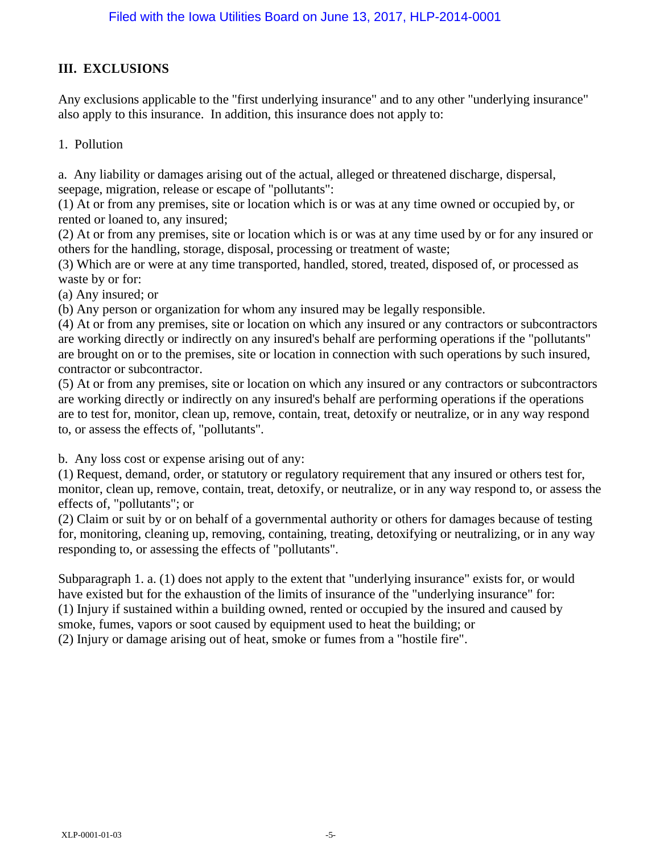# **III. EXCLUSIONS**

Any exclusions applicable to the "first underlying insurance" and to any other "underlying insurance" also apply to this insurance. In addition, this insurance does not apply to:

### 1. Pollution

a. Any liability or damages arising out of the actual, alleged or threatened discharge, dispersal, seepage, migration, release or escape of "pollutants":

(1) At or from any premises, site or location which is or was at any time owned or occupied by, or rented or loaned to, any insured;

(2) At or from any premises, site or location which is or was at any time used by or for any insured or others for the handling, storage, disposal, processing or treatment of waste;

(3) Which are or were at any time transported, handled, stored, treated, disposed of, or processed as waste by or for:

(a) Any insured; or

(b) Any person or organization for whom any insured may be legally responsible.

(4) At or from any premises, site or location on which any insured or any contractors or subcontractors are working directly or indirectly on any insured's behalf are performing operations if the "pollutants" are brought on or to the premises, site or location in connection with such operations by such insured, contractor or subcontractor.

(5) At or from any premises, site or location on which any insured or any contractors or subcontractors are working directly or indirectly on any insured's behalf are performing operations if the operations are to test for, monitor, clean up, remove, contain, treat, detoxify or neutralize, or in any way respond to, or assess the effects of, "pollutants".

b. Any loss cost or expense arising out of any:

(1) Request, demand, order, or statutory or regulatory requirement that any insured or others test for, monitor, clean up, remove, contain, treat, detoxify, or neutralize, or in any way respond to, or assess the effects of, "pollutants"; or

(2) Claim or suit by or on behalf of a governmental authority or others for damages because of testing for, monitoring, cleaning up, removing, containing, treating, detoxifying or neutralizing, or in any way responding to, or assessing the effects of "pollutants".

Subparagraph 1. a. (1) does not apply to the extent that "underlying insurance" exists for, or would have existed but for the exhaustion of the limits of insurance of the "underlying insurance" for: (1) Injury if sustained within a building owned, rented or occupied by the insured and caused by smoke, fumes, vapors or soot caused by equipment used to heat the building; or (2) Injury or damage arising out of heat, smoke or fumes from a "hostile fire".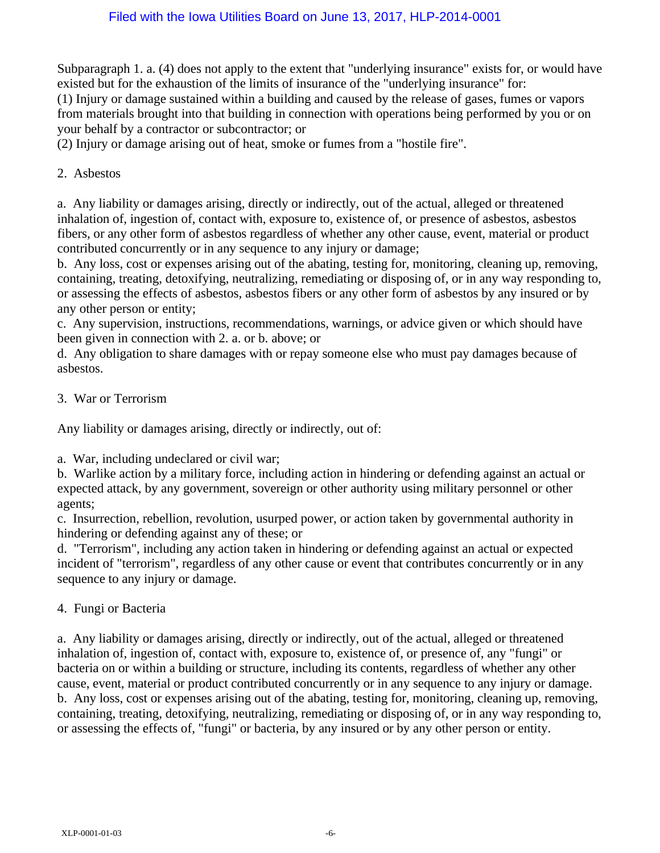Subparagraph 1. a. (4) does not apply to the extent that "underlying insurance" exists for, or would have existed but for the exhaustion of the limits of insurance of the "underlying insurance" for:

(1) Injury or damage sustained within a building and caused by the release of gases, fumes or vapors from materials brought into that building in connection with operations being performed by you or on your behalf by a contractor or subcontractor; or

(2) Injury or damage arising out of heat, smoke or fumes from a "hostile fire".

### 2. Asbestos

a. Any liability or damages arising, directly or indirectly, out of the actual, alleged or threatened inhalation of, ingestion of, contact with, exposure to, existence of, or presence of asbestos, asbestos fibers, or any other form of asbestos regardless of whether any other cause, event, material or product contributed concurrently or in any sequence to any injury or damage;

b. Any loss, cost or expenses arising out of the abating, testing for, monitoring, cleaning up, removing, containing, treating, detoxifying, neutralizing, remediating or disposing of, or in any way responding to, or assessing the effects of asbestos, asbestos fibers or any other form of asbestos by any insured or by any other person or entity;

c. Any supervision, instructions, recommendations, warnings, or advice given or which should have been given in connection with 2. a. or b. above; or

d. Any obligation to share damages with or repay someone else who must pay damages because of asbestos.

### 3. War or Terrorism

Any liability or damages arising, directly or indirectly, out of:

a. War, including undeclared or civil war;

b. Warlike action by a military force, including action in hindering or defending against an actual or expected attack, by any government, sovereign or other authority using military personnel or other agents;

c. Insurrection, rebellion, revolution, usurped power, or action taken by governmental authority in hindering or defending against any of these; or

d. "Terrorism", including any action taken in hindering or defending against an actual or expected incident of "terrorism", regardless of any other cause or event that contributes concurrently or in any sequence to any injury or damage.

### 4. Fungi or Bacteria

a. Any liability or damages arising, directly or indirectly, out of the actual, alleged or threatened inhalation of, ingestion of, contact with, exposure to, existence of, or presence of, any "fungi" or bacteria on or within a building or structure, including its contents, regardless of whether any other cause, event, material or product contributed concurrently or in any sequence to any injury or damage. b. Any loss, cost or expenses arising out of the abating, testing for, monitoring, cleaning up, removing, containing, treating, detoxifying, neutralizing, remediating or disposing of, or in any way responding to, or assessing the effects of, "fungi" or bacteria, by any insured or by any other person or entity.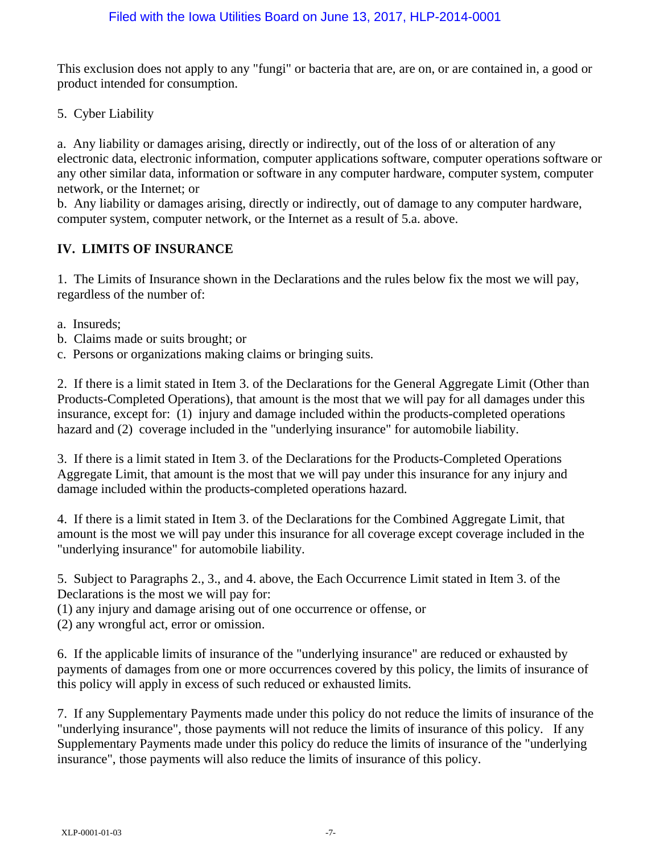This exclusion does not apply to any "fungi" or bacteria that are, are on, or are contained in, a good or product intended for consumption.

5. Cyber Liability

a. Any liability or damages arising, directly or indirectly, out of the loss of or alteration of any electronic data, electronic information, computer applications software, computer operations software or any other similar data, information or software in any computer hardware, computer system, computer network, or the Internet; or

b. Any liability or damages arising, directly or indirectly, out of damage to any computer hardware, computer system, computer network, or the Internet as a result of 5.a. above.

# **IV. LIMITS OF INSURANCE**

1. The Limits of Insurance shown in the Declarations and the rules below fix the most we will pay, regardless of the number of:

- a. Insureds;
- b. Claims made or suits brought; or
- c. Persons or organizations making claims or bringing suits.

2. If there is a limit stated in Item 3. of the Declarations for the General Aggregate Limit (Other than Products-Completed Operations), that amount is the most that we will pay for all damages under this insurance, except for: (1) injury and damage included within the products-completed operations hazard and (2) coverage included in the "underlying insurance" for automobile liability.

3. If there is a limit stated in Item 3. of the Declarations for the Products-Completed Operations Aggregate Limit, that amount is the most that we will pay under this insurance for any injury and damage included within the products-completed operations hazard.

4. If there is a limit stated in Item 3. of the Declarations for the Combined Aggregate Limit, that amount is the most we will pay under this insurance for all coverage except coverage included in the "underlying insurance" for automobile liability.

5. Subject to Paragraphs 2., 3., and 4. above, the Each Occurrence Limit stated in Item 3. of the Declarations is the most we will pay for:

(1) any injury and damage arising out of one occurrence or offense, or

(2) any wrongful act, error or omission.

6. If the applicable limits of insurance of the "underlying insurance" are reduced or exhausted by payments of damages from one or more occurrences covered by this policy, the limits of insurance of this policy will apply in excess of such reduced or exhausted limits.

7. If any Supplementary Payments made under this policy do not reduce the limits of insurance of the "underlying insurance", those payments will not reduce the limits of insurance of this policy. If any Supplementary Payments made under this policy do reduce the limits of insurance of the "underlying insurance", those payments will also reduce the limits of insurance of this policy.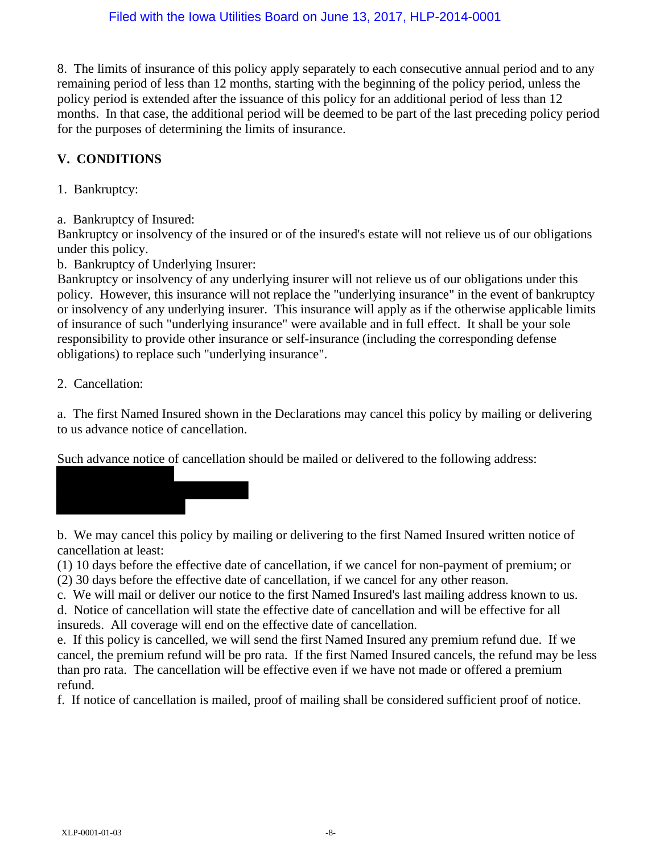8. The limits of insurance of this policy apply separately to each consecutive annual period and to any remaining period of less than 12 months, starting with the beginning of the policy period, unless the policy period is extended after the issuance of this policy for an additional period of less than 12 months. In that case, the additional period will be deemed to be part of the last preceding policy period for the purposes of determining the limits of insurance.

# **V. CONDITIONS**

1. Bankruptcy:

a. Bankruptcy of Insured:

Bankruptcy or insolvency of the insured or of the insured's estate will not relieve us of our obligations under this policy.

b. Bankruptcy of Underlying Insurer:

Bankruptcy or insolvency of any underlying insurer will not relieve us of our obligations under this policy. However, this insurance will not replace the "underlying insurance" in the event of bankruptcy or insolvency of any underlying insurer. This insurance will apply as if the otherwise applicable limits of insurance of such "underlying insurance" were available and in full effect. It shall be your sole responsibility to provide other insurance or self-insurance (including the corresponding defense obligations) to replace such "underlying insurance".

2. Cancellation:

a. The first Named Insured shown in the Declarations may cancel this policy by mailing or delivering to us advance notice of cancellation.

Such advance notice of cancellation should be mailed or delivered to the following address:



b. We may cancel this policy by mailing or delivering to the first Named Insured written notice of cancellation at least:

(1) 10 days before the effective date of cancellation, if we cancel for non-payment of premium; or

(2) 30 days before the effective date of cancellation, if we cancel for any other reason.

c. We will mail or deliver our notice to the first Named Insured's last mailing address known to us.

d. Notice of cancellation will state the effective date of cancellation and will be effective for all insureds. All coverage will end on the effective date of cancellation.

e. If this policy is cancelled, we will send the first Named Insured any premium refund due. If we cancel, the premium refund will be pro rata. If the first Named Insured cancels, the refund may be less than pro rata. The cancellation will be effective even if we have not made or offered a premium refund.

f. If notice of cancellation is mailed, proof of mailing shall be considered sufficient proof of notice.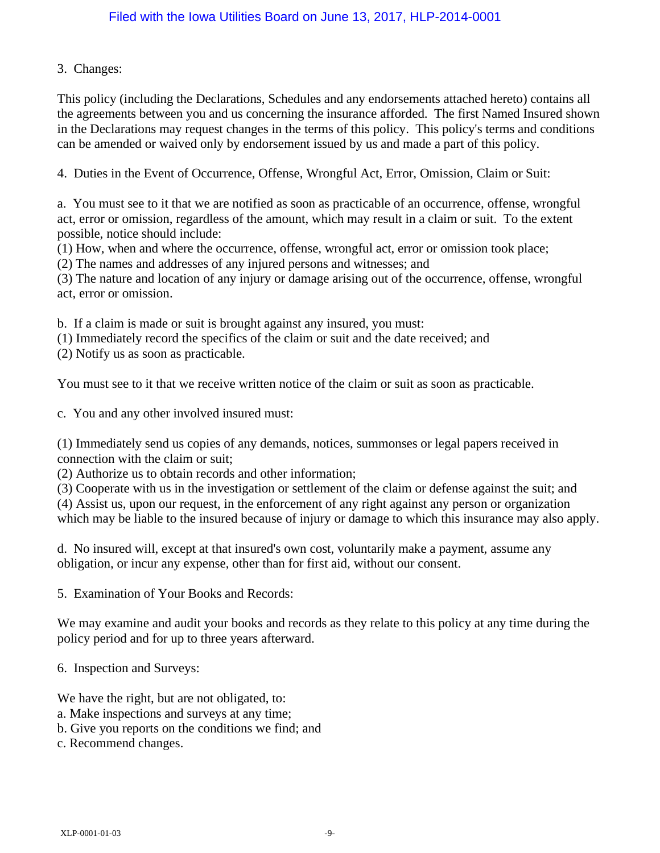### 3. Changes:

This policy (including the Declarations, Schedules and any endorsements attached hereto) contains all the agreements between you and us concerning the insurance afforded. The first Named Insured shown in the Declarations may request changes in the terms of this policy. This policy's terms and conditions can be amended or waived only by endorsement issued by us and made a part of this policy.

4. Duties in the Event of Occurrence, Offense, Wrongful Act, Error, Omission, Claim or Suit:

a. You must see to it that we are notified as soon as practicable of an occurrence, offense, wrongful act, error or omission, regardless of the amount, which may result in a claim or suit. To the extent possible, notice should include:

(1) How, when and where the occurrence, offense, wrongful act, error or omission took place;

(2) The names and addresses of any injured persons and witnesses; and

(3) The nature and location of any injury or damage arising out of the occurrence, offense, wrongful act, error or omission.

b. If a claim is made or suit is brought against any insured, you must:

(1) Immediately record the specifics of the claim or suit and the date received; and

(2) Notify us as soon as practicable.

You must see to it that we receive written notice of the claim or suit as soon as practicable.

c. You and any other involved insured must:

(1) Immediately send us copies of any demands, notices, summonses or legal papers received in connection with the claim or suit;

(2) Authorize us to obtain records and other information;

(3) Cooperate with us in the investigation or settlement of the claim or defense against the suit; and

(4) Assist us, upon our request, in the enforcement of any right against any person or organization which may be liable to the insured because of injury or damage to which this insurance may also apply.

d. No insured will, except at that insured's own cost, voluntarily make a payment, assume any obligation, or incur any expense, other than for first aid, without our consent.

5. Examination of Your Books and Records:

We may examine and audit your books and records as they relate to this policy at any time during the policy period and for up to three years afterward.

6. Inspection and Surveys:

We have the right, but are not obligated, to:

- a. Make inspections and surveys at any time;
- b. Give you reports on the conditions we find; and
- c. Recommend changes.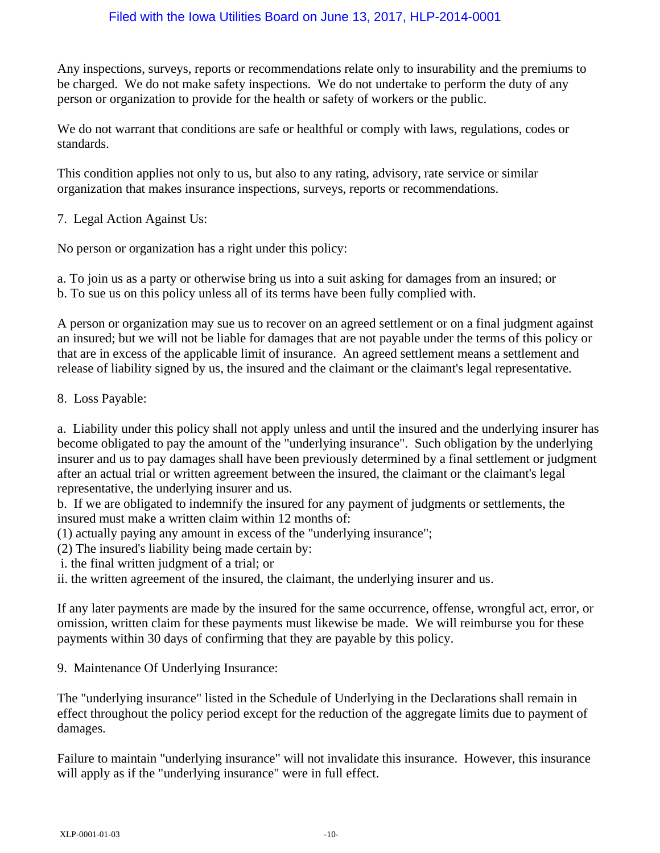Any inspections, surveys, reports or recommendations relate only to insurability and the premiums to be charged. We do not make safety inspections. We do not undertake to perform the duty of any person or organization to provide for the health or safety of workers or the public.

We do not warrant that conditions are safe or healthful or comply with laws, regulations, codes or standards.

This condition applies not only to us, but also to any rating, advisory, rate service or similar organization that makes insurance inspections, surveys, reports or recommendations.

7. Legal Action Against Us:

No person or organization has a right under this policy:

a. To join us as a party or otherwise bring us into a suit asking for damages from an insured; or b. To sue us on this policy unless all of its terms have been fully complied with.

A person or organization may sue us to recover on an agreed settlement or on a final judgment against an insured; but we will not be liable for damages that are not payable under the terms of this policy or that are in excess of the applicable limit of insurance. An agreed settlement means a settlement and release of liability signed by us, the insured and the claimant or the claimant's legal representative.

8. Loss Payable:

a. Liability under this policy shall not apply unless and until the insured and the underlying insurer has become obligated to pay the amount of the "underlying insurance". Such obligation by the underlying insurer and us to pay damages shall have been previously determined by a final settlement or judgment after an actual trial or written agreement between the insured, the claimant or the claimant's legal representative, the underlying insurer and us.

b. If we are obligated to indemnify the insured for any payment of judgments or settlements, the insured must make a written claim within 12 months of:

(1) actually paying any amount in excess of the "underlying insurance";

(2) The insured's liability being made certain by:

i. the final written judgment of a trial; or

ii. the written agreement of the insured, the claimant, the underlying insurer and us.

If any later payments are made by the insured for the same occurrence, offense, wrongful act, error, or omission, written claim for these payments must likewise be made. We will reimburse you for these payments within 30 days of confirming that they are payable by this policy.

9. Maintenance Of Underlying Insurance:

The "underlying insurance" listed in the Schedule of Underlying in the Declarations shall remain in effect throughout the policy period except for the reduction of the aggregate limits due to payment of damages.

Failure to maintain "underlying insurance" will not invalidate this insurance. However, this insurance will apply as if the "underlying insurance" were in full effect.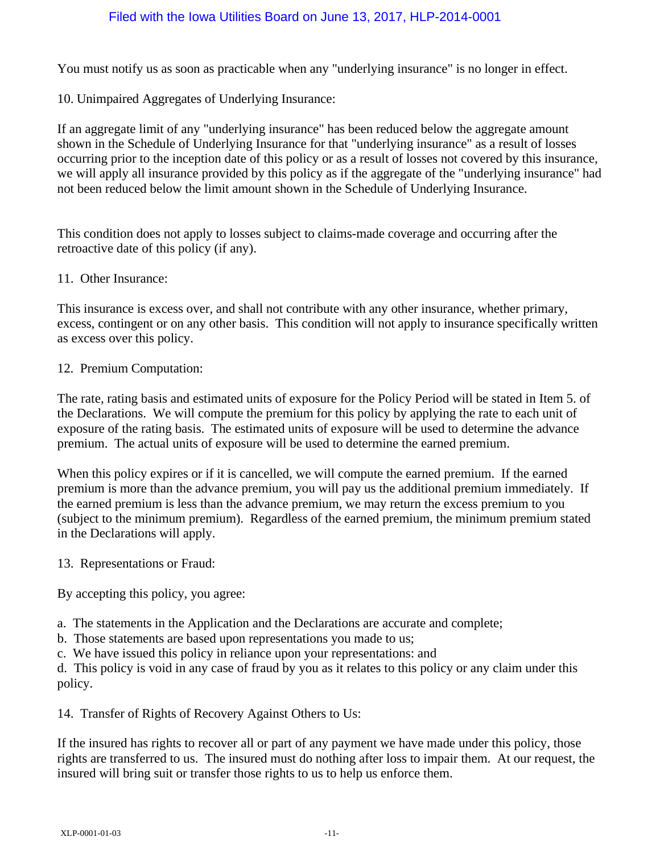You must notify us as soon as practicable when any "underlying insurance" is no longer in effect.

10. Unimpaired Aggregates of Underlying Insurance:

If an aggregate limit of any "underlying insurance" has been reduced below the aggregate amount shown in the Schedule of Underlying Insurance for that "underlying insurance" as a result of losses occurring prior to the inception date of this policy or as a result of losses not covered by this insurance, we will apply all insurance provided by this policy as if the aggregate of the "underlying insurance" had not been reduced below the limit amount shown in the Schedule of Underlying Insurance.

This condition does not apply to losses subject to claims-made coverage and occurring after the retroactive date of this policy (if any).

11. Other Insurance:

This insurance is excess over, and shall not contribute with any other insurance, whether primary, excess, contingent or on any other basis. This condition will not apply to insurance specifically written as excess over this policy.

#### 12. Premium Computation:

The rate, rating basis and estimated units of exposure for the Policy Period will be stated in Item 5. of the Declarations. We will compute the premium for this policy by applying the rate to each unit of exposure of the rating basis. The estimated units of exposure will be used to determine the advance premium. The actual units of exposure will be used to determine the earned premium.

When this policy expires or if it is cancelled, we will compute the earned premium. If the earned premium is more than the advance premium, you will pay us the additional premium immediately. If the earned premium is less than the advance premium, we may return the excess premium to you (subject to the minimum premium). Regardless of the earned premium, the minimum premium stated in the Declarations will apply.

13. Representations or Fraud:

By accepting this policy, you agree:

- a. The statements in the Application and the Declarations are accurate and complete;
- b. Those statements are based upon representations you made to us;
- c. We have issued this policy in reliance upon your representations: and

d. This policy is void in any case of fraud by you as it relates to this policy or any claim under this policy.

14. Transfer of Rights of Recovery Against Others to Us:

If the insured has rights to recover all or part of any payment we have made under this policy, those rights are transferred to us. The insured must do nothing after loss to impair them. At our request, the insured will bring suit or transfer those rights to us to help us enforce them.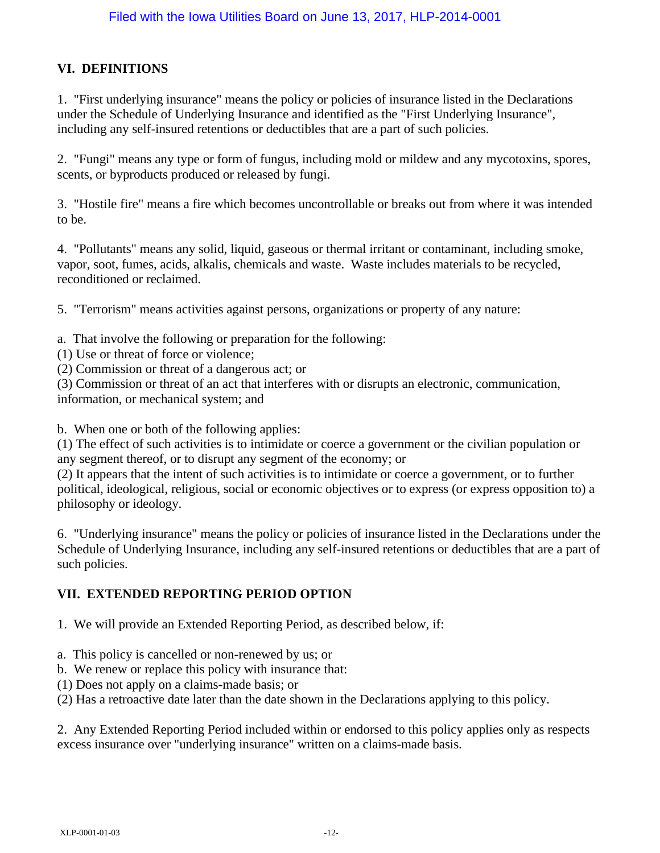# **VI. DEFINITIONS**

1. "First underlying insurance" means the policy or policies of insurance listed in the Declarations under the Schedule of Underlying Insurance and identified as the "First Underlying Insurance", including any self-insured retentions or deductibles that are a part of such policies.

2. "Fungi" means any type or form of fungus, including mold or mildew and any mycotoxins, spores, scents, or byproducts produced or released by fungi.

3. "Hostile fire" means a fire which becomes uncontrollable or breaks out from where it was intended to be.

4. "Pollutants" means any solid, liquid, gaseous or thermal irritant or contaminant, including smoke, vapor, soot, fumes, acids, alkalis, chemicals and waste. Waste includes materials to be recycled, reconditioned or reclaimed.

5. "Terrorism" means activities against persons, organizations or property of any nature:

- a. That involve the following or preparation for the following:
- (1) Use or threat of force or violence;
- (2) Commission or threat of a dangerous act; or

(3) Commission or threat of an act that interferes with or disrupts an electronic, communication, information, or mechanical system; and

b. When one or both of the following applies:

(1) The effect of such activities is to intimidate or coerce a government or the civilian population or any segment thereof, or to disrupt any segment of the economy; or

(2) It appears that the intent of such activities is to intimidate or coerce a government, or to further political, ideological, religious, social or economic objectives or to express (or express opposition to) a philosophy or ideology.

6. "Underlying insurance" means the policy or policies of insurance listed in the Declarations under the Schedule of Underlying Insurance, including any self-insured retentions or deductibles that are a part of such policies.

# **VII. EXTENDED REPORTING PERIOD OPTION**

1. We will provide an Extended Reporting Period, as described below, if:

- a. This policy is cancelled or non-renewed by us; or
- b. We renew or replace this policy with insurance that:
- (1) Does not apply on a claims-made basis; or
- (2) Has a retroactive date later than the date shown in the Declarations applying to this policy.

2. Any Extended Reporting Period included within or endorsed to this policy applies only as respects excess insurance over "underlying insurance" written on a claims-made basis.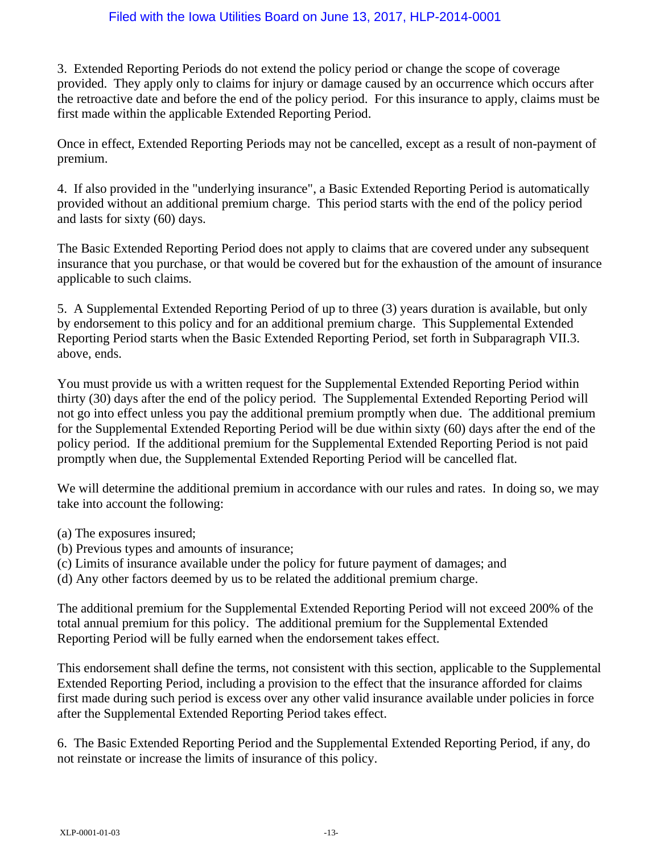3. Extended Reporting Periods do not extend the policy period or change the scope of coverage provided. They apply only to claims for injury or damage caused by an occurrence which occurs after the retroactive date and before the end of the policy period. For this insurance to apply, claims must be first made within the applicable Extended Reporting Period.

Once in effect, Extended Reporting Periods may not be cancelled, except as a result of non-payment of premium.

4. If also provided in the "underlying insurance", a Basic Extended Reporting Period is automatically provided without an additional premium charge. This period starts with the end of the policy period and lasts for sixty (60) days.

The Basic Extended Reporting Period does not apply to claims that are covered under any subsequent insurance that you purchase, or that would be covered but for the exhaustion of the amount of insurance applicable to such claims.

5. A Supplemental Extended Reporting Period of up to three (3) years duration is available, but only by endorsement to this policy and for an additional premium charge. This Supplemental Extended Reporting Period starts when the Basic Extended Reporting Period, set forth in Subparagraph VII.3. above, ends.

You must provide us with a written request for the Supplemental Extended Reporting Period within thirty (30) days after the end of the policy period. The Supplemental Extended Reporting Period will not go into effect unless you pay the additional premium promptly when due. The additional premium for the Supplemental Extended Reporting Period will be due within sixty (60) days after the end of the policy period. If the additional premium for the Supplemental Extended Reporting Period is not paid promptly when due, the Supplemental Extended Reporting Period will be cancelled flat.

We will determine the additional premium in accordance with our rules and rates. In doing so, we may take into account the following:

- (a) The exposures insured;
- (b) Previous types and amounts of insurance;
- (c) Limits of insurance available under the policy for future payment of damages; and
- (d) Any other factors deemed by us to be related the additional premium charge.

The additional premium for the Supplemental Extended Reporting Period will not exceed 200% of the total annual premium for this policy. The additional premium for the Supplemental Extended Reporting Period will be fully earned when the endorsement takes effect.

This endorsement shall define the terms, not consistent with this section, applicable to the Supplemental Extended Reporting Period, including a provision to the effect that the insurance afforded for claims first made during such period is excess over any other valid insurance available under policies in force after the Supplemental Extended Reporting Period takes effect.

6. The Basic Extended Reporting Period and the Supplemental Extended Reporting Period, if any, do not reinstate or increase the limits of insurance of this policy.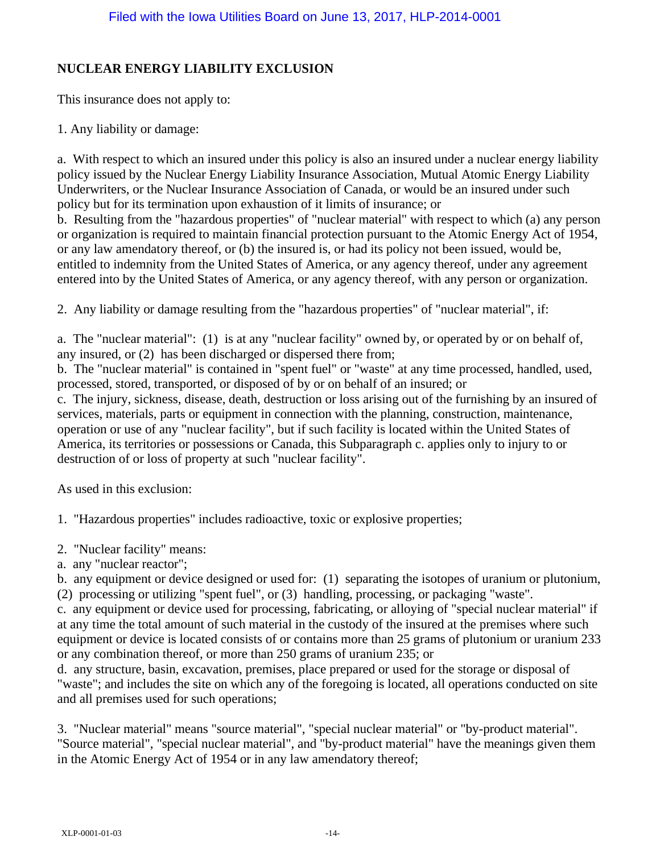# **NUCLEAR ENERGY LIABILITY EXCLUSION**

This insurance does not apply to:

1. Any liability or damage:

a. With respect to which an insured under this policy is also an insured under a nuclear energy liability policy issued by the Nuclear Energy Liability Insurance Association, Mutual Atomic Energy Liability Underwriters, or the Nuclear Insurance Association of Canada, or would be an insured under such policy but for its termination upon exhaustion of it limits of insurance; or

b. Resulting from the "hazardous properties" of "nuclear material" with respect to which (a) any person or organization is required to maintain financial protection pursuant to the Atomic Energy Act of 1954, or any law amendatory thereof, or (b) the insured is, or had its policy not been issued, would be, entitled to indemnity from the United States of America, or any agency thereof, under any agreement entered into by the United States of America, or any agency thereof, with any person or organization.

2. Any liability or damage resulting from the "hazardous properties" of "nuclear material", if:

a. The "nuclear material": (1) is at any "nuclear facility" owned by, or operated by or on behalf of, any insured, or (2) has been discharged or dispersed there from;

b. The "nuclear material" is contained in "spent fuel" or "waste" at any time processed, handled, used, processed, stored, transported, or disposed of by or on behalf of an insured; or

c. The injury, sickness, disease, death, destruction or loss arising out of the furnishing by an insured of services, materials, parts or equipment in connection with the planning, construction, maintenance, operation or use of any "nuclear facility", but if such facility is located within the United States of America, its territories or possessions or Canada, this Subparagraph c. applies only to injury to or destruction of or loss of property at such "nuclear facility".

As used in this exclusion:

1. "Hazardous properties" includes radioactive, toxic or explosive properties;

- 2. "Nuclear facility" means:
- a. any "nuclear reactor";

b. any equipment or device designed or used for: (1) separating the isotopes of uranium or plutonium, (2) processing or utilizing "spent fuel", or (3) handling, processing, or packaging "waste".

c. any equipment or device used for processing, fabricating, or alloying of "special nuclear material" if at any time the total amount of such material in the custody of the insured at the premises where such equipment or device is located consists of or contains more than 25 grams of plutonium or uranium 233 or any combination thereof, or more than 250 grams of uranium 235; or

d. any structure, basin, excavation, premises, place prepared or used for the storage or disposal of "waste"; and includes the site on which any of the foregoing is located, all operations conducted on site and all premises used for such operations;

3. "Nuclear material" means "source material", "special nuclear material" or "by-product material". "Source material", "special nuclear material", and "by-product material" have the meanings given them in the Atomic Energy Act of 1954 or in any law amendatory thereof;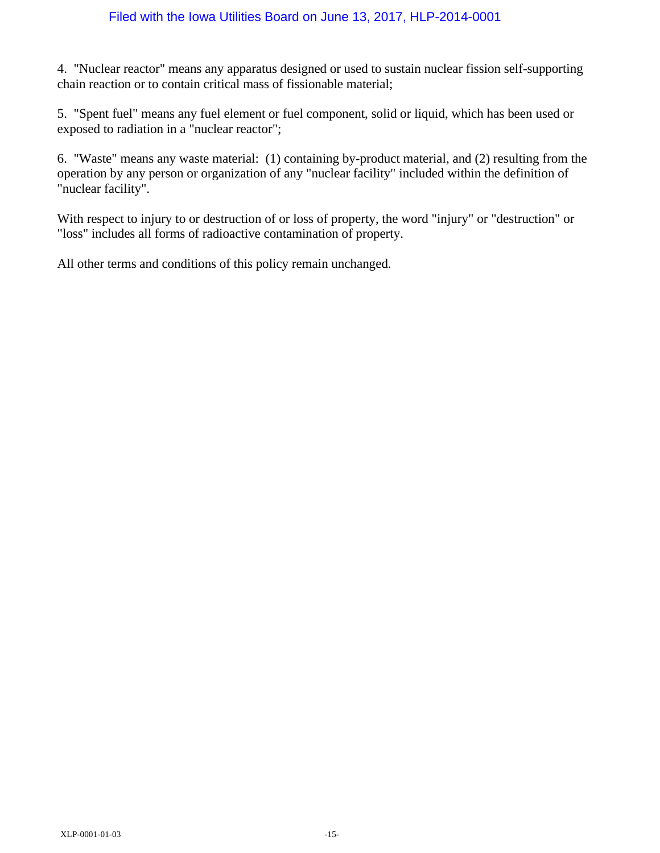4. "Nuclear reactor" means any apparatus designed or used to sustain nuclear fission self-supporting chain reaction or to contain critical mass of fissionable material;

5. "Spent fuel" means any fuel element or fuel component, solid or liquid, which has been used or exposed to radiation in a "nuclear reactor";

6. "Waste" means any waste material: (1) containing by-product material, and (2) resulting from the operation by any person or organization of any "nuclear facility" included within the definition of "nuclear facility".

With respect to injury to or destruction of or loss of property, the word "injury" or "destruction" or "loss" includes all forms of radioactive contamination of property.

All other terms and conditions of this policy remain unchanged.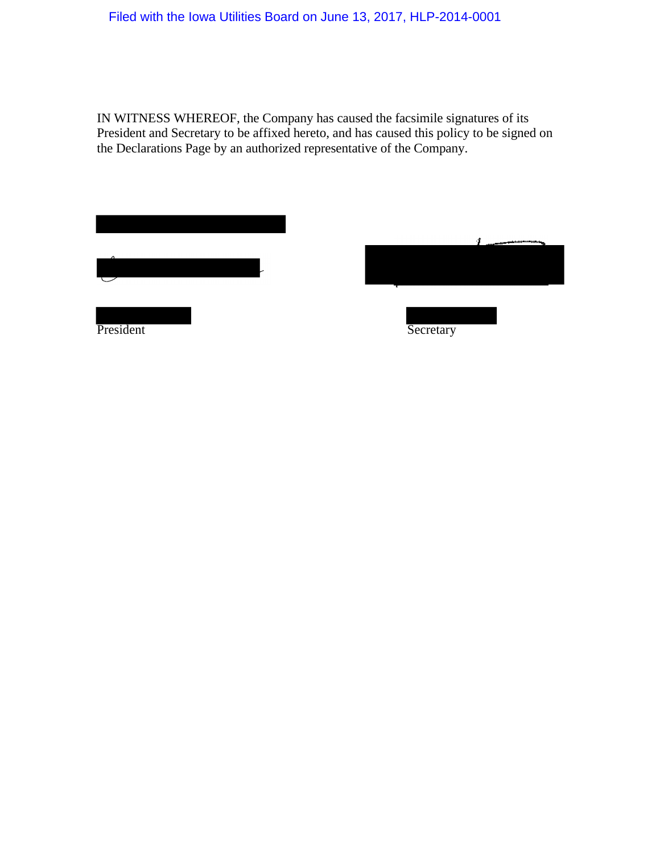IN WITNESS WHEREOF, the Company has caused the facsimile signatures of its President and Secretary to be affixed hereto, and has caused this policy to be signed on the Declarations Page by an authorized representative of the Company.

| ↗         |  |
|-----------|--|
|           |  |
|           |  |
| President |  |

| Secretary |  |
|-----------|--|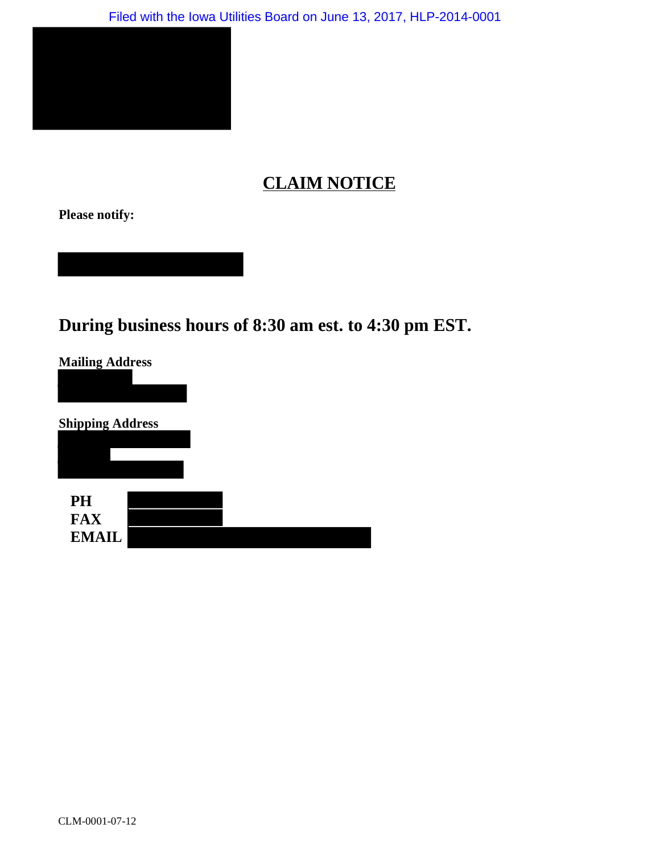

# **CLAIM NOTICE**

**Please notify:**

**During business hours of 8:30 am est. to 4:30 pm EST.**

| <b>Mailing Address</b>                  |  |  |
|-----------------------------------------|--|--|
| <b>Shipping Address</b>                 |  |  |
| <b>PH</b><br><b>FAX</b><br><b>EMAIL</b> |  |  |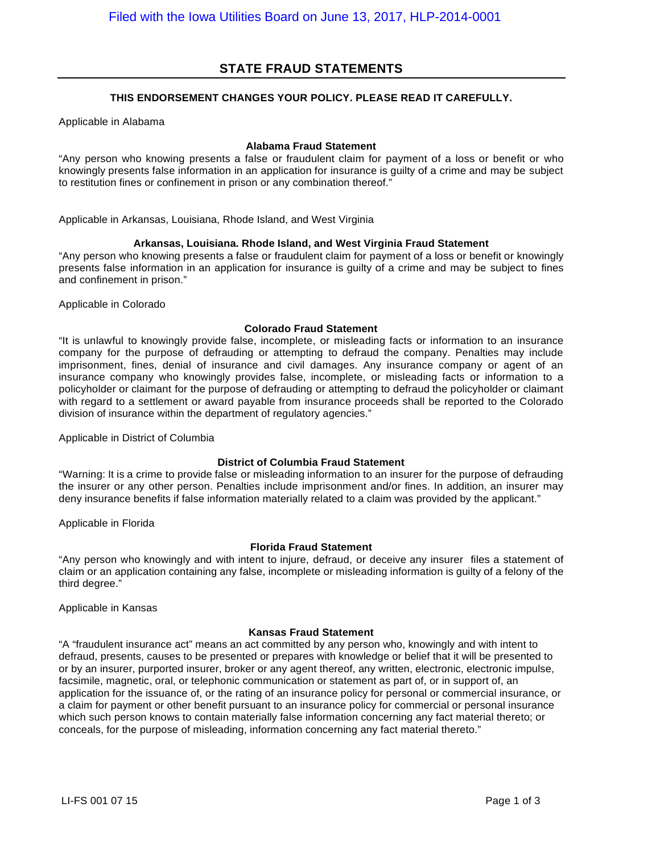### **STATE FRAUD STATEMENTS**

#### **THIS ENDORSEMENT CHANGES YOUR POLICY. PLEASE READ IT CAREFULLY.**

Applicable in Alabama

#### **Alabama Fraud Statement**

"Any person who knowing presents a false or fraudulent claim for payment of a loss or benefit or who knowingly presents false information in an application for insurance is guilty of a crime and may be subject to restitution fines or confinement in prison or any combination thereof."

Applicable in Arkansas, Louisiana, Rhode Island, and West Virginia

#### **Arkansas, Louisiana. Rhode Island, and West Virginia Fraud Statement**

"Any person who knowing presents a false or fraudulent claim for payment of a loss or benefit or knowingly presents false information in an application for insurance is guilty of a crime and may be subject to fines and confinement in prison."

Applicable in Colorado

#### **Colorado Fraud Statement**

"It is unlawful to knowingly provide false, incomplete, or misleading facts or information to an insurance company for the purpose of defrauding or attempting to defraud the company. Penalties may include imprisonment, fines, denial of insurance and civil damages. Any insurance company or agent of an insurance company who knowingly provides false, incomplete, or misleading facts or information to a policyholder or claimant for the purpose of defrauding or attempting to defraud the policyholder or claimant with regard to a settlement or award payable from insurance proceeds shall be reported to the Colorado division of insurance within the department of regulatory agencies."

Applicable in District of Columbia

#### **District of Columbia Fraud Statement**

"Warning: It is a crime to provide false or misleading information to an insurer for the purpose of defrauding the insurer or any other person. Penalties include imprisonment and/or fines. In addition, an insurer may deny insurance benefits if false information materially related to a claim was provided by the applicant."

Applicable in Florida

#### **Florida Fraud Statement**

"Any person who knowingly and with intent to injure, defraud, or deceive any insurer files a statement of claim or an application containing any false, incomplete or misleading information is guilty of a felony of the third degree."

Applicable in Kansas

#### **Kansas Fraud Statement**

"A "fraudulent insurance act" means an act committed by any person who, knowingly and with intent to defraud, presents, causes to be presented or prepares with knowledge or belief that it will be presented to or by an insurer, purported insurer, broker or any agent thereof, any written, electronic, electronic impulse, facsimile, magnetic, oral, or telephonic communication or statement as part of, or in support of, an application for the issuance of, or the rating of an insurance policy for personal or commercial insurance, or a claim for payment or other benefit pursuant to an insurance policy for commercial or personal insurance which such person knows to contain materially false information concerning any fact material thereto; or conceals, for the purpose of misleading, information concerning any fact material thereto."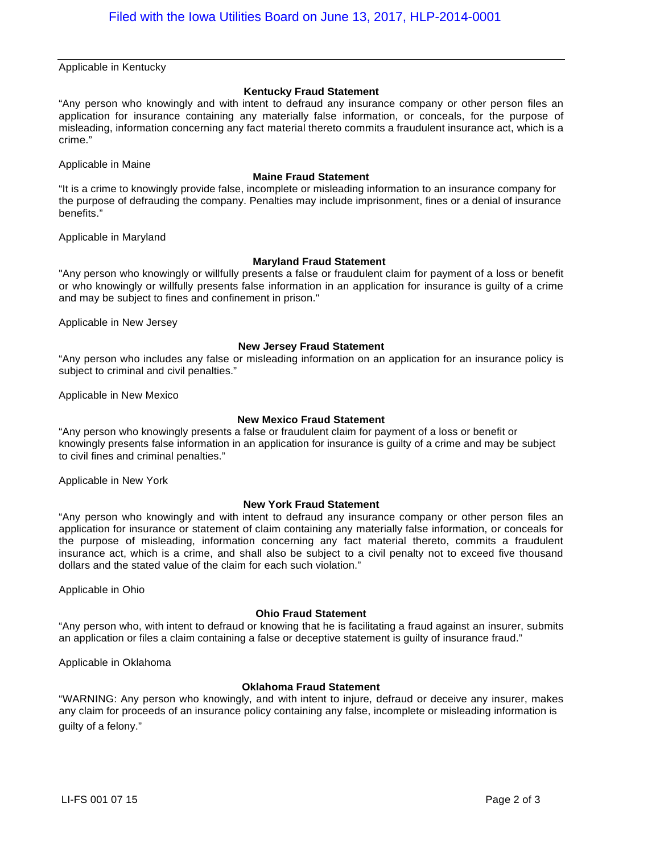Applicable in Kentucky

#### **Kentucky Fraud Statement**

"Any person who knowingly and with intent to defraud any insurance company or other person files an application for insurance containing any materially false information, or conceals, for the purpose of misleading, information concerning any fact material thereto commits a fraudulent insurance act, which is a crime."

Applicable in Maine

#### **Maine Fraud Statement**

"It is a crime to knowingly provide false, incomplete or misleading information to an insurance company for the purpose of defrauding the company. Penalties may include imprisonment, fines or a denial of insurance benefits."

Applicable in Maryland

#### **Maryland Fraud Statement**

"Any person who knowingly or willfully presents a false or fraudulent claim for payment of a loss or benefit or who knowingly or willfully presents false information in an application for insurance is guilty of a crime and may be subject to fines and confinement in prison."

Applicable in New Jersey

#### **New Jersey Fraud Statement**

"Any person who includes any false or misleading information on an application for an insurance policy is subject to criminal and civil penalties."

Applicable in New Mexico

#### **New Mexico Fraud Statement**

"Any person who knowingly presents a false or fraudulent claim for payment of a loss or benefit or knowingly presents false information in an application for insurance is guilty of a crime and may be subject to civil fines and criminal penalties."

Applicable in New York

#### **New York Fraud Statement**

"Any person who knowingly and with intent to defraud any insurance company or other person files an application for insurance or statement of claim containing any materially false information, or conceals for the purpose of misleading, information concerning any fact material thereto, commits a fraudulent insurance act, which is a crime, and shall also be subject to a civil penalty not to exceed five thousand dollars and the stated value of the claim for each such violation."

Applicable in Ohio

#### **Ohio Fraud Statement**

"Any person who, with intent to defraud or knowing that he is facilitating a fraud against an insurer, submits an application or files a claim containing a false or deceptive statement is guilty of insurance fraud."

Applicable in Oklahoma

#### **Oklahoma Fraud Statement**

"WARNING: Any person who knowingly, and with intent to injure, defraud or deceive any insurer, makes any claim for proceeds of an insurance policy containing any false, incomplete or misleading information is guilty of a felony."